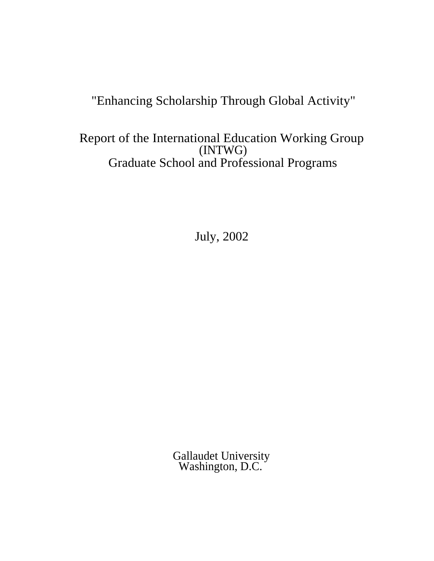# "Enhancing Scholarship Through Global Activity"

Report of the International Education Working Group (INTWG) Graduate School and Professional Programs

July, 2002

Gallaudet University Washington, D.C.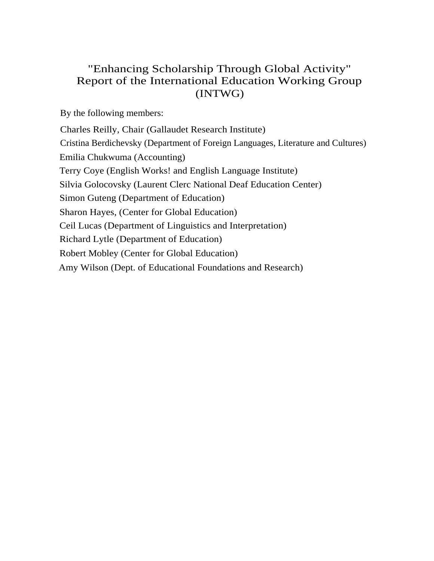# "Enhancing Scholarship Through Global Activity" Report of the International Education Working Group (INTWG)

By the following members:

Charles Reilly, Chair (Gallaudet Research Institute) Cristina Berdichevsky (Department of Foreign Languages, Literature and Cultures) Emilia Chukwuma (Accounting) Terry Coye (English Works! and English Language Institute) Silvia Golocovsky (Laurent Clerc National Deaf Education Center) Simon Guteng (Department of Education) Sharon Hayes, (Center for Global Education) Ceil Lucas (Department of Linguistics and Interpretation) Richard Lytle (Department of Education) Robert Mobley (Center for Global Education) Amy Wilson (Dept. of Educational Foundations and Research)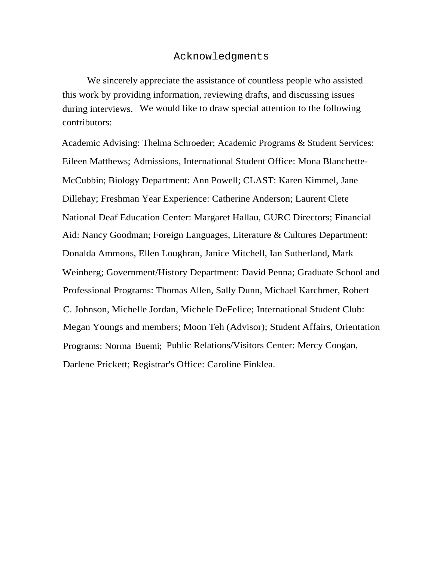# Acknowledgments

We sincerely appreciate the assistance of countless people who assisted this work by providing information, reviewing drafts, and discussing issues during interviews. We would like to draw special attention to the following contributors:

Academic Advising: Thelma Schroeder; Academic Programs & Student Services: Eileen Matthews; Admissions, International Student Office: Mona Blanchette-McCubbin; Biology Department: Ann Powell; CLAST: Karen Kimmel, Jane Dillehay; Freshman Year Experience: Catherine Anderson; Laurent Clete National Deaf Education Center: Margaret Hallau, GURC Directors; Financial Aid: Nancy Goodman; Foreign Languages, Literature & Cultures Department: Donalda Ammons, Ellen Loughran, Janice Mitchell, Ian Sutherland, Mark Weinberg; Government/History Department: David Penna; Graduate School and Professional Programs: Thomas Allen, Sally Dunn, Michael Karchmer, Robert C. Johnson, Michelle Jordan, Michele DeFelice; International Student Club: Megan Youngs and members; Moon Teh (Advisor); Student Affairs, Orientation Programs: Norma Buemi; Public Relations/Visitors Center: Mercy Coogan, Darlene Prickett; Registrar's Office: Caroline Finklea.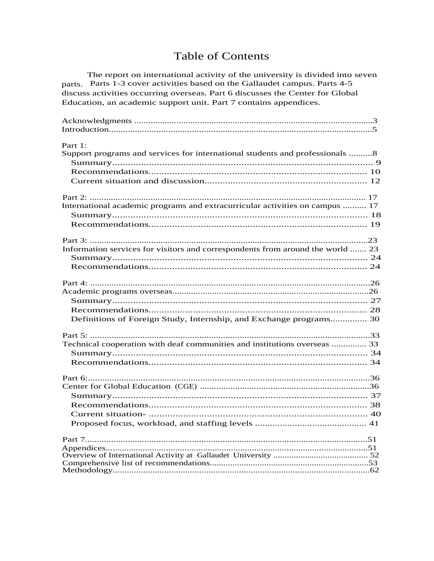# **Table of Contents**

The report on international activity of the university is divided into seven parts. Parts 1-3 cover activities based on the Gallaudet campus. Parts 4-5 discuss activities occurring overseas. Part 6 discusses the Center for Global Education, an academic support unit. Part 7 contains appendices.

| Part 1:                                                                        |  |
|--------------------------------------------------------------------------------|--|
| Support programs and services for international students and professionals 8   |  |
|                                                                                |  |
|                                                                                |  |
|                                                                                |  |
| International academic programs and extracurricular activities on campus  17   |  |
|                                                                                |  |
|                                                                                |  |
|                                                                                |  |
| Information services for visitors and correspondents from around the world  23 |  |
|                                                                                |  |
|                                                                                |  |
|                                                                                |  |
|                                                                                |  |
|                                                                                |  |
|                                                                                |  |
| Definitions of Foreign Study, Internship, and Exchange programs 30             |  |
|                                                                                |  |
| Technical cooperation with deaf communities and institutions overseas  33      |  |
|                                                                                |  |
|                                                                                |  |
|                                                                                |  |
|                                                                                |  |
|                                                                                |  |
|                                                                                |  |
|                                                                                |  |
|                                                                                |  |
|                                                                                |  |
|                                                                                |  |
|                                                                                |  |
|                                                                                |  |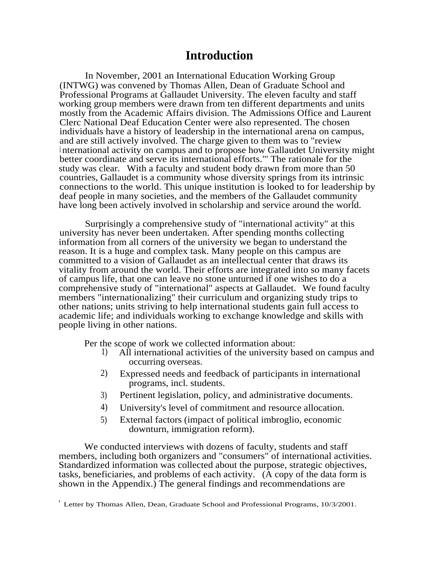# **Introduction**

In November, 2001 an International Education Working Group (INTWG) was convened by Thomas Allen, Dean of Graduate School and Professional Programs at Gallaudet University. The eleven faculty and staff working group members were drawn from ten different departments and units mostly from the Academic Affairs division. The Admissions Office and Laurent Clerc National Deaf Education Center were also represented. The chosen individuals have a history of leadership in the international arena on campus, and are still actively involved. The charge given to them was to "review <sup>i</sup> nternational activity on campus and to propose how Gallaudet University might better coordinate and serve its international efforts."' The rationale for the study was clear. With a faculty and student body drawn from more than 50 countries, Gallaudet is a community whose diversity springs from its intrinsic connections to the world. This unique institution is looked to for leadership by deaf people in many societies, and the members of the Gallaudet community have long been actively involved in scholarship and service around the world.

Surprisingly a comprehensive study of "international activity" at this university has never been undertaken. After spending months collecting information from all corners of the university we began to understand the reason. It is a huge and complex task. Many people on this campus are committed to a vision of Gallaudet as an intellectual center that draws its vitality from around the world. Their efforts are integrated into so many facets of campus life, that one can leave no stone unturned if one wishes to do a comprehensive study of "international" aspects at Gallaudet. We found faculty members "internationalizing" their curriculum and organizing study trips to other nations; units striving to help international students gain full access to academic life; and individuals working to exchange knowledge and skills with people living in other nations.

Per the scope of work we collected information about:<br>
1) All international activities of the university by

- All international activities of the university based on campus and occurring overseas.
- 2) Expressed needs and feedback of participants in international programs, incl. students.
- 3) Pertinent legislation, policy, and administrative documents.
- 4) University's level of commitment and resource allocation.
- 5) External factors (impact of political imbroglio, economic downturn, immigration reform).

We conducted interviews with dozens of faculty, students and staff members, including both organizers and "consumers" of international activities. Standardized information was collected about the purpose, strategic objectives, tasks, beneficiaries, and problems of each activity. (A copy of the data form is shown in the Appendix.) The general findings and recommendations are

<sup>&#</sup>x27; Letter by Thomas Allen, Dean, Graduate School and Professional Programs, 10/3/2001.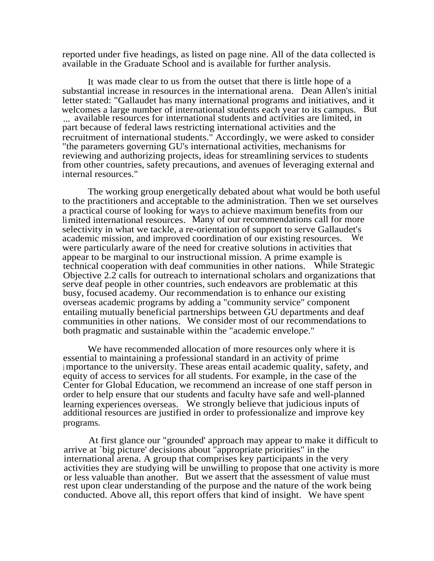reported under five headings, as listed on page nine. All of the data collected is available in the Graduate School and is available for further analysis.

It was made clear to us from the outset that there is little hope of a substantial increase in resources in the international arena. Dean Allen's initial letter stated: "Gallaudet has many international programs and initiatives, and it welcomes a large number of international students each year to its campus. But ... available resources for international students and activities are limited, in part because of federal laws restricting international activities and the recruitment of international students." Accordingly, we were asked to consider "the parameters governing GU's international activities, mechanisms for reviewing and authorizing projects, ideas for streamlining services to students from other countries, safety precautions, and avenues of leveraging external and internal resources."

The working group energetically debated about what would be both useful to the practitioners and acceptable to the administration. Then we set ourselves a practical course of looking for ways to achieve maximum benefits from our limited international resources. Many of our recommendations call for more selectivity in what we tackle, a re-orientation of support to serve Gallaudet's academic mission, and improved coordination of our existing resources. We were particularly aware of the need for creative solutions in activities that appear to be marginal to our instructional mission. A prime example is technical cooperation with deaf communities in other nations. While Strategic Objective 2.2 calls for outreach to international scholars and organizations that serve deaf people in other countries, such endeavors are problematic at this busy, focused academy. Our recommendation is to enhance our existing overseas academic programs by adding a "community service" component entailing mutually beneficial partnerships between GU departments and deaf communities in other nations. We consider most of our recommendations to both pragmatic and sustainable within the "academic envelope."

We have recommended allocation of more resources only where it is essential to maintaining a professional standard in an activity of prime <sup>i</sup> mportance to the university. These areas entail academic quality, safety, and equity of access to services for all students. For example, in the case of the Center for Global Education, we recommend an increase of one staff person in order to help ensure that our students and faculty have safe and well-planned learning experiences overseas. We strongly believe that judicious inputs of additional resources are justified in order to professionalize and improve key programs.

At first glance our "grounded' approach may appear to make it difficult to arrive at `big picture' decisions about "appropriate priorities" in the international arena. A group that comprises key participants in the very activities they are studying will be unwilling to propose that one activity is more or less valuable than another. But we assert that the assessment of value must rest upon clear understanding of the purpose and the nature of the work being conducted. Above all, this report offers that kind of insight. We have spent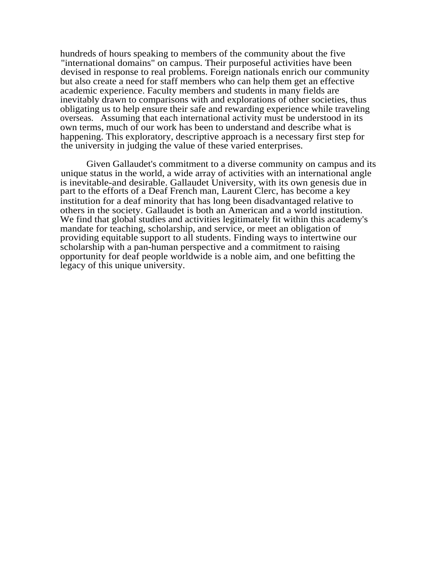hundreds of hours speaking to members of the community about the five "international domains" on campus. Their purposeful activities have been devised in response to real problems. Foreign nationals enrich our community but also create a need for staff members who can help them get an effective academic experience. Faculty members and students in many fields are inevitably drawn to comparisons with and explorations of other societies, thus obligating us to help ensure their safe and rewarding experience while traveling overseas. Assuming that each international activity must be understood in its own terms, much of our work has been to understand and describe what is happening. This exploratory, descriptive approach is a necessary first step for the university in judging the value of these varied enterprises.

Given Gallaudet's commitment to a diverse community on campus and its unique status in the world, a wide array of activities with an international angle is inevitable-and desirable. Gallaudet University, with its own genesis due in part to the efforts of a Deaf French man, Laurent Clerc, has become a key institution for a deaf minority that has long been disadvantaged relative to others in the society. Gallaudet is both an American and a world institution. We find that global studies and activities legitimately fit within this academy's mandate for teaching, scholarship, and service, or meet an obligation of providing equitable support to all students. Finding ways to intertwine our scholarship with a pan-human perspective and a commitment to raising opportunity for deaf people worldwide is a noble aim, and one befitting the legacy of this unique university.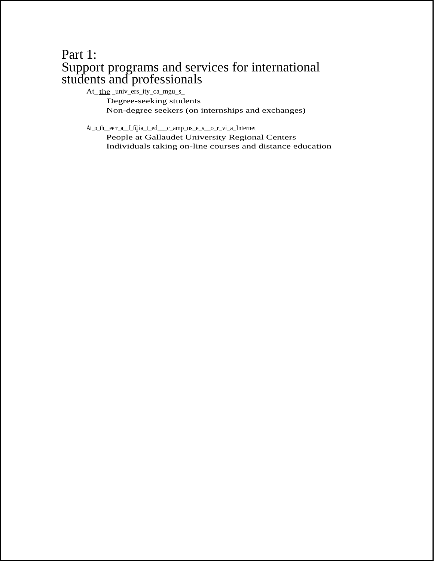# Part 1: Support programs and services for international students and professionals

At\_the \_univ\_ers\_ity\_ca\_mgu\_s\_

Degree-seeking students Non-degree seekers (on internships and exchanges)

At\_o\_th\_\_eerr\_a\_\_f\_fill ia\_t\_ed\_\_\_c\_amp\_us\_e\_s\_\_o\_r\_vi\_a\_Internet

People at Gallaudet University Regional Centers Individuals taking on-line courses and distance education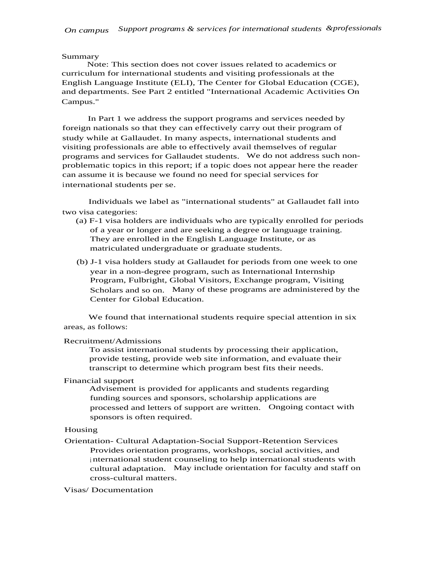#### Summary

Note: This section does not cover issues related to academics or curriculum for international students and visiting professionals at the English Language Institute (ELI), The Center for Global Education (CGE), and departments. See Part 2 entitled "International Academic Activities On Campus."

In Part 1 we address the support programs and services needed by foreign nationals so that they can effectively carry out their program of study while at Gallaudet. In many aspects, international students and visiting professionals are able to effectively avail themselves of regular programs and services for Gallaudet students. We do not address such nonproblematic topics in this report; if a topic does not appear here the reader can assume it is because we found no need for special services for international students per se.

Individuals we label as "international students" at Gallaudet fall into two visa categories:

- (a) F-1 visa holders are individuals who are typically enrolled for periods of a year or longer and are seeking a degree or language training. They are enrolled in the English Language Institute, or as matriculated undergraduate or graduate students.
- (b) J-1 visa holders study at Gallaudet for periods from one week to one year in a non-degree program, such as International Internship Program, Fulbright, Global Visitors, Exchange program, Visiting Scholars and so on. Many of these programs are administered by the Center for Global Education.

We found that international students require special attention in six areas, as follows:

#### Recruitment/Admissions

To assist international students by processing their application, provide testing, provide web site information, and evaluate their transcript to determine which program best fits their needs.

#### Financial support

Advisement is provided for applicants and students regarding funding sources and sponsors, scholarship applications are processed and letters of support are written. Ongoing contact with sponsors is often required.

#### Housing

Orientation- Cultural Adaptation-Social Support-Retention Services Provides orientation programs, workshops, social activities, and <sup>i</sup> nternational student counseling to help international students with cultural adaptation. May include orientation for faculty and staff on cross-cultural matters.

#### Visas/ Documentation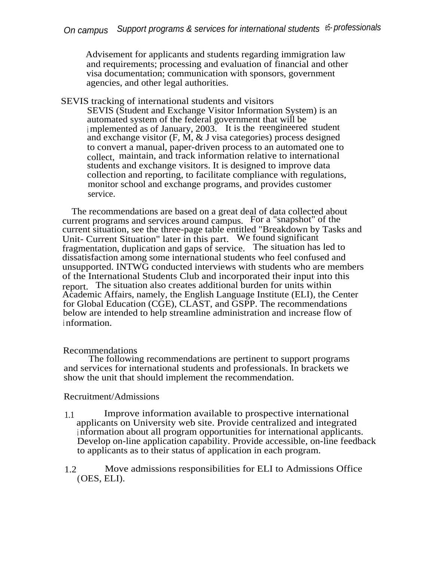Advisement for applicants and students regarding immigration law and requirements; processing and evaluation of financial and other visa documentation; communication with sponsors, government agencies, and other legal authorities.

SEVIS tracking of international students and visitors SEVIS (Student and Exchange Visitor Information System) is an automated system of the federal government that will be <sup>i</sup> mplemented as of January, 2003. It is the reengineered student and exchange visitor  $(F, \dot{M}, \& J \text{ visa categories})$  process designed to convert a manual, paper-driven process to an automated one to collect, maintain, and track information relative to international students and exchange visitors. It is designed to improve data collection and reporting, to facilitate compliance with regulations, monitor school and exchange programs, and provides customer service.

The recommendations are based on a great deal of data collected about current programs and services around campus. For a "snapshot" of the current situation, see the three-page table entitled "Breakdown by Tasks and Unit- Current Situation" later in this part. We found significant fragmentation, duplication and gaps of service. The situation has led to dissatisfaction among some international students who feel confused and unsupported. INTWG conducted interviews with students who are members of the International Students Club and incorporated their input into this report. The situation also creates additional burden for units within Academic Affairs, namely, the English Language Institute (ELI), the Center for Global Education (CGE), CLAST, and GSPP. The recommendations below are intended to help streamline administration and increase flow of <sup>i</sup> nformation.

# Recommendations

The following recommendations are pertinent to support programs and services for international students and professionals. In brackets we show the unit that should implement the recommendation.

# Recruitment/Admissions

- 1.1 Improve information available to prospective international applicants on University web site. Provide centralized and integrated <sup>i</sup> nformation about all program opportunities for international applicants. Develop on-line application capability. Provide accessible, on-line feedback to applicants as to their status of application in each program.
- 1.2 Move admissions responsibilities for ELI to Admissions Office (OES, ELI).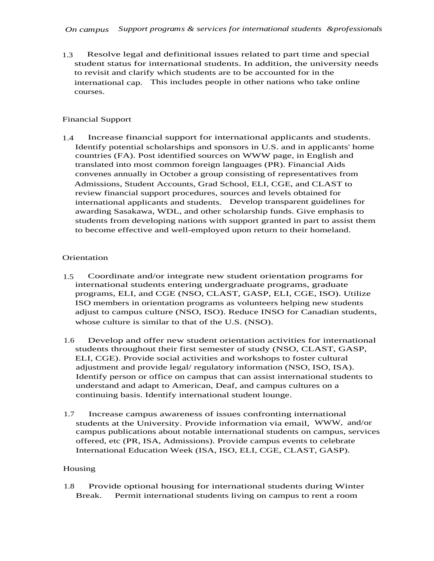1.3 Resolve legal and definitional issues related to part time and special student status for international students. In addition, the university needs to revisit and clarify which students are to be accounted for in the international cap. This includes people in other nations who take online courses.

### Financial Support

1.4 Increase financial support for international applicants and students. Identify potential scholarships and sponsors in U.S. and in applicants' home countries (FA). Post identified sources on WWW page, in English and translated into most common foreign languages (PR). Financial Aids convenes annually in October a group consisting of representatives from Admissions, Student Accounts, Grad School, ELI, CGE, and CLAST to review financial support procedures, sources and levels obtained for international applicants and students. Develop transparent guidelines for awarding Sasakawa, WDL, and other scholarship funds. Give emphasis to students from developing nations with support granted in part to assist them to become effective and well-employed upon return to their homeland.

### **Orientation**

- 1.5 Coordinate and/or integrate new student orientation programs for international students entering undergraduate programs, graduate programs, ELI, and CGE (NSO, CLAST, GASP, ELI, CGE, ISO). Utilize ISO members in orientation programs as volunteers helping new students adjust to campus culture (NSO, ISO). Reduce INSO for Canadian students, whose culture is similar to that of the U.S. (NSO).
- 1.6 Develop and offer new student orientation activities for international students throughout their first semester of study (NSO, CLAST, GASP, ELI, CGE). Provide social activities and workshops to foster cultural adjustment and provide legal/ regulatory information (NSO, ISO, ISA). Identify person or office on campus that can assist international students to understand and adapt to American, Deaf, and campus cultures on a continuing basis. Identify international student lounge.
- 1.7 Increase campus awareness of issues confronting international students at the University. Provide information via email, WWW, and/or campus publications about notable international students on campus, services offered, etc (PR, ISA, Admissions). Provide campus events to celebrate International Education Week (ISA, ISO, ELI, CGE, CLAST, GASP).

#### Housing

1.8 Provide optional housing for international students during Winter Break. Permit international students living on campus to rent a room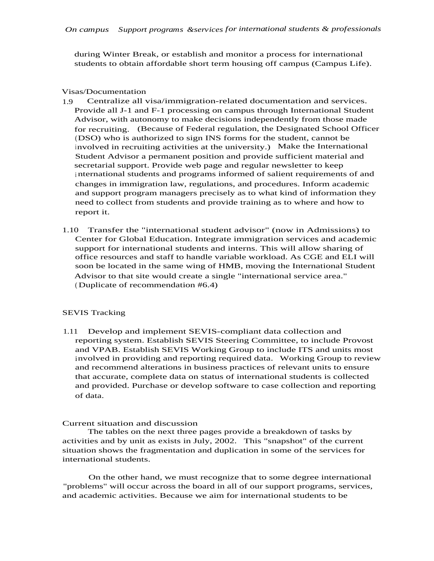during Winter Break, or establish and monitor a process for international students to obtain affordable short term housing off campus (Campus Life).

#### Visas/Documentation

- 1.9 Centralize all visa/immigration-related documentation and services. Provide all J-1 and F-1 processing on campus through International Student Advisor, with autonomy to make decisions independently from those made for recruiting. (Because of Federal regulation, the Designated School Officer (DSO) who is authorized to sign INS forms for the student, cannot be involved in recruiting activities at the university.) Make the International Student Advisor a permanent position and provide sufficient material and secretarial support. Provide web page and regular newsletter to keep <sup>i</sup> nternational students and programs informed of salient requirements of and changes in immigration law, regulations, and procedures. Inform academic and support program managers precisely as to what kind of information they need to collect from students and provide training as to where and how to report it.
- 1.10 Transfer the "international student advisor" (now in Admissions) to Center for Global Education. Integrate immigration services and academic support for international students and interns. This will allow sharing of office resources and staff to handle variable workload. As CGE and ELI will soon be located in the same wing of HMB, moving the International Student Advisor to that site would create a single "international service area." ( Duplicate of recommendation #6.4)

#### SEVIS Tracking

1.11 Develop and implement SEVIS-compliant data collection and reporting system. Establish SEVIS Steering Committee, to include Provost and VPAB. Establish SEVIS Working Group to include ITS and units most involved in providing and reporting required data. Working Group to review and recommend alterations in business practices of relevant units to ensure that accurate, complete data on status of international students is collected and provided. Purchase or develop software to case collection and reporting of data.

#### Current situation and discussion

The tables on the next three pages provide a breakdown of tasks by activities and by unit as exists in July, 2002. This "snapshot" of the current situation shows the fragmentation and duplication in some of the services for international students.

On the other hand, we must recognize that to some degree international "problems" will occur across the board in all of our support programs, services, and academic activities. Because we aim for international students to be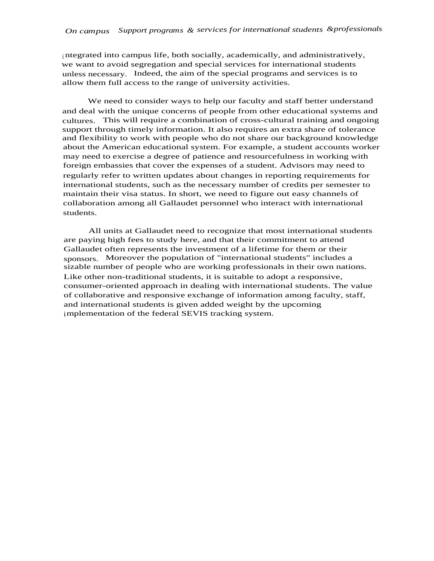<sup>i</sup> ntegrated into campus life, both socially, academically, and administratively, we want to avoid segregation and special services for international students unless necessary. Indeed, the aim of the special programs and services is to allow them full access to the range of university activities.

We need to consider ways to help our faculty and staff better understand and deal with the unique concerns of people from other educational systems and cultures. This will require a combination of cross-cultural training and ongoing support through timely information. It also requires an extra share of tolerance and flexibility to work with people who do not share our background knowledge about the American educational system. For example, a student accounts worker may need to exercise a degree of patience and resourcefulness in working with foreign embassies that cover the expenses of a student. Advisors may need to regularly refer to written updates about changes in reporting requirements for international students, such as the necessary number of credits per semester to maintain their visa status. In short, we need to figure out easy channels of collaboration among all Gallaudet personnel who interact with international students.

All units at Gallaudet need to recognize that most international students are paying high fees to study here, and that their commitment to attend Gallaudet often represents the investment of a lifetime for them or their sponsors. Moreover the population of "international students" includes a sizable number of people who are working professionals in their own nations. Like other non-traditional students, it is suitable to adopt a responsive, consumer-oriented approach in dealing with international students. The value of collaborative and responsive exchange of information among faculty, staff, and international students is given added weight by the upcoming implementation of the federal SEVIS tracking system.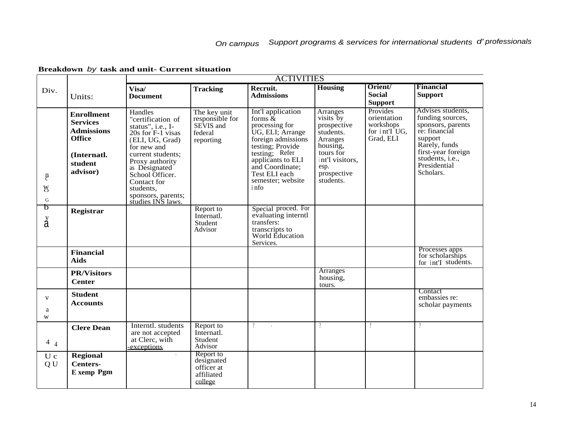|                                       |                                                                                                                   | <b>ACTIVITIES</b>                                                                                                                                                                                                                                           |                                                                      |                                                                                                                                                                                                                              |                                                                                                                                               |                                                                    |                                                                                                                                                                               |
|---------------------------------------|-------------------------------------------------------------------------------------------------------------------|-------------------------------------------------------------------------------------------------------------------------------------------------------------------------------------------------------------------------------------------------------------|----------------------------------------------------------------------|------------------------------------------------------------------------------------------------------------------------------------------------------------------------------------------------------------------------------|-----------------------------------------------------------------------------------------------------------------------------------------------|--------------------------------------------------------------------|-------------------------------------------------------------------------------------------------------------------------------------------------------------------------------|
| Div.                                  | Units:                                                                                                            | Visa/<br><b>Document</b>                                                                                                                                                                                                                                    | <b>Tracking</b>                                                      | Recruit.<br><b>Admissions</b>                                                                                                                                                                                                | <b>Housing</b>                                                                                                                                | Orient/<br><b>Social</b><br><b>Support</b>                         | <b>Financial</b><br><b>Support</b>                                                                                                                                            |
| $\mathbb{R}$<br><b>W</b><br>${\bf G}$ | <b>Enrollment</b><br><b>Services</b><br><b>Admissions</b><br><b>Office</b><br>(Internatl.)<br>student<br>advisor) | Handles<br>"certification of<br>status", i.e., I-<br>20s for F-1 visas<br>(ELI, UG, Grad)<br>for new and<br>current students;<br>Proxy authority<br>as Designated<br>School Officer.<br>Contact for<br>students,<br>sponsors, parents;<br>studies INS laws. | The key unit<br>responsible for<br>SEVIS and<br>federal<br>reporting | Int'l application<br>forms $\alpha$<br>processing for<br>UG, ELI; Arrange<br>foreign admissions<br>testing; Provide<br>testing; Refer<br>applicants to ELI<br>and Coordinate;<br>Test ELI each<br>semester; website<br>i nfo | Arranges<br>visits by<br>prospective<br>students.<br>Arranges<br>housing,<br>tours for<br>int'l visitors,<br>esp.<br>prospective<br>students. | Provides<br>orientation<br>workshops<br>for int'I UG,<br>Grad, ELI | Advises students,<br>funding sources,<br>sponsors, parents<br>re: financial<br>support<br>Rarely, funds<br>first-year foreign<br>students, i.e.,<br>Presidential<br>Scholars. |
| চ<br>å                                | Registrar                                                                                                         |                                                                                                                                                                                                                                                             | Report to<br>Internatl.<br>Student<br>Advisor                        | Special proced. For<br>evaluating interntl<br>transfers:<br>transcripts to<br>World Education<br>Services.                                                                                                                   |                                                                                                                                               |                                                                    |                                                                                                                                                                               |
|                                       | <b>Financial</b><br><b>Aids</b>                                                                                   |                                                                                                                                                                                                                                                             |                                                                      |                                                                                                                                                                                                                              |                                                                                                                                               |                                                                    | Processes apps<br>for scholarships<br>for int'I students.                                                                                                                     |
|                                       | <b>PR/Visitors</b><br><b>Center</b>                                                                               |                                                                                                                                                                                                                                                             |                                                                      |                                                                                                                                                                                                                              | Arranges<br>housing,<br>tours.                                                                                                                |                                                                    |                                                                                                                                                                               |
| $\mathbf{V}$<br>a<br>W                | <b>Student</b><br><b>Accounts</b>                                                                                 |                                                                                                                                                                                                                                                             |                                                                      |                                                                                                                                                                                                                              |                                                                                                                                               |                                                                    | Contact<br>embassies re:<br>scholar payments                                                                                                                                  |
| $4_4$                                 | <b>Clere Dean</b>                                                                                                 | Interntl. students<br>are not accepted<br>at Clerc, with<br>exceptions                                                                                                                                                                                      | Report to<br>Internatl.<br>Student<br>Advisor                        | $\gamma$                                                                                                                                                                                                                     | $\gamma$                                                                                                                                      | $\eta$                                                             | $\gamma$                                                                                                                                                                      |
| U c<br>QU                             | <b>Regional</b><br><b>Centers-</b><br>E xemp Pgm                                                                  | $\mathbf{r}$                                                                                                                                                                                                                                                | Report to<br>designated<br>officer at<br>affiliated<br>college       |                                                                                                                                                                                                                              |                                                                                                                                               |                                                                    |                                                                                                                                                                               |

### **Breakdown** by **task and unit- Current situation**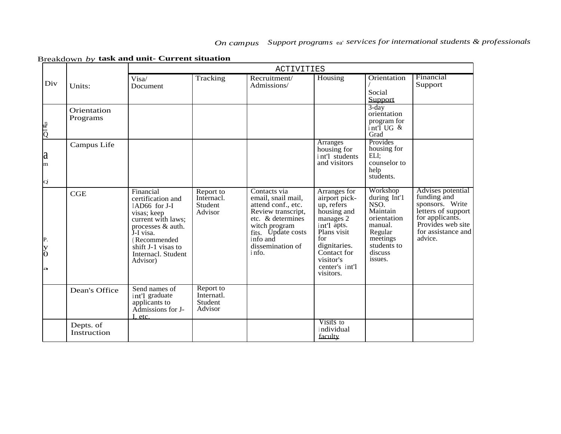|  |  |  |  | Breakdown by task and unit- Current situation |
|--|--|--|--|-----------------------------------------------|
|  |  |  |  |                                               |

|                                     |                          | <b>ACTIVITIES</b>                                                                                                                                                                              |                                               |                                                                                                                                                                                      |                                                                                                                                                                                         |                                                                                                                                    |                                                                                                                                                    |  |  |
|-------------------------------------|--------------------------|------------------------------------------------------------------------------------------------------------------------------------------------------------------------------------------------|-----------------------------------------------|--------------------------------------------------------------------------------------------------------------------------------------------------------------------------------------|-----------------------------------------------------------------------------------------------------------------------------------------------------------------------------------------|------------------------------------------------------------------------------------------------------------------------------------|----------------------------------------------------------------------------------------------------------------------------------------------------|--|--|
| Div                                 | Units:                   | Visa/<br>Document                                                                                                                                                                              | Tracking                                      | Recruitment/<br>Admissions/                                                                                                                                                          | Housing                                                                                                                                                                                 | Orientation<br>Social<br>Support                                                                                                   | Financial<br>Support                                                                                                                               |  |  |
| kiji<br>Ö                           | Orientation<br>Programs  |                                                                                                                                                                                                |                                               |                                                                                                                                                                                      |                                                                                                                                                                                         | $3 - day$<br>orientation<br>program for<br>$int$ UG &<br>Grad                                                                      |                                                                                                                                                    |  |  |
| a <br>m<br> Q                       | Campus Life              |                                                                                                                                                                                                |                                               |                                                                                                                                                                                      | <b>Arranges</b><br>housing for<br>int'l students<br>and visitors                                                                                                                        | Provides<br>housing for<br>ELI:<br>counselor to<br>help<br>students.                                                               |                                                                                                                                                    |  |  |
| P.<br>$\overline{\mathrm{S}}$<br>la | CGE                      | Financial<br>certification and<br>IAD66 for J-I<br>visas; keep<br>current with laws;<br>processes & auth.<br>J-I visa.<br>(Recommended<br>shift J-1 visas to<br>Internacl. Student<br>Advisor) | Report to<br>Internacl.<br>Student<br>Advisor | Contacts via<br>email, snail mail,<br>attend conf., etc.<br>Review transcript,<br>etc. & determines<br>witch program<br>fits. Update costs<br>info and<br>dissemination of<br>i nfo. | Arranges for<br>airport pick-<br>up, refers<br>housing and<br>manages 2<br>int'l apts.<br>Plans visit<br>for<br>dignitaries.<br>Contact for<br>visitor's<br>center's int'l<br>visitors. | Workshop<br>during Int'1<br>NSO.<br>Maintain<br>orientation<br>manual.<br>Regular<br>meetings<br>students to<br>discuss<br>issues. | Advises potential<br>funding and<br>sponsors. Write<br>letters of support<br>for applicants.<br>Provides web site<br>for assistance and<br>advice. |  |  |
|                                     | Dean's Office            | Send names of<br>int'l graduate<br>applicants to<br>Admissions for J-<br>etc.                                                                                                                  | Report to<br>Internatl.<br>Student<br>Advisor |                                                                                                                                                                                      |                                                                                                                                                                                         |                                                                                                                                    |                                                                                                                                                    |  |  |
|                                     | Depts. of<br>Instruction |                                                                                                                                                                                                |                                               |                                                                                                                                                                                      | Visits to<br>individual<br>faculty                                                                                                                                                      |                                                                                                                                    |                                                                                                                                                    |  |  |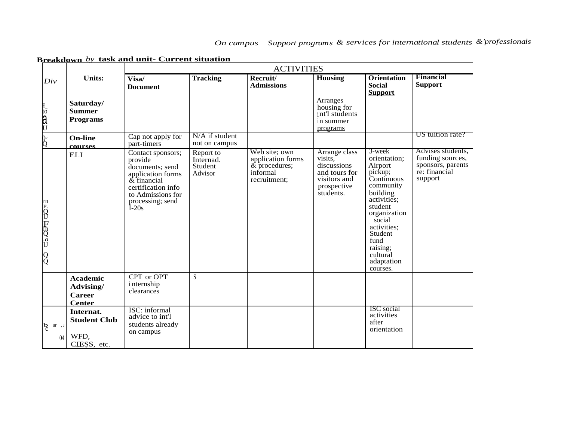|                                |                                                                | <b>ACTIVITIES</b>                                                                                                                                             |                                              |                                                                                     |                                                                                                      |                                                                                                                                                                                                                                  |                                                                                        |  |
|--------------------------------|----------------------------------------------------------------|---------------------------------------------------------------------------------------------------------------------------------------------------------------|----------------------------------------------|-------------------------------------------------------------------------------------|------------------------------------------------------------------------------------------------------|----------------------------------------------------------------------------------------------------------------------------------------------------------------------------------------------------------------------------------|----------------------------------------------------------------------------------------|--|
| Div                            | <b>Units:</b>                                                  | Visa/<br><b>Document</b>                                                                                                                                      | <b>Tracking</b>                              | Recruit/<br><b>Admissions</b>                                                       | <b>Housing</b>                                                                                       | <b>Orientation</b><br><b>Social</b><br><b>Support</b>                                                                                                                                                                            | Financial<br><b>Support</b>                                                            |  |
| Eto du                         | Saturday/<br><b>Summer</b><br><b>Programs</b>                  |                                                                                                                                                               |                                              |                                                                                     | <b>Arranges</b><br>housing for<br>int'l students<br>in summer<br>programs                            |                                                                                                                                                                                                                                  |                                                                                        |  |
| o<br>Q                         | <b>On-line</b><br><b>COULTSES</b>                              | Cap not apply for<br>part-timers                                                                                                                              | N/A if student<br>not on campus              |                                                                                     |                                                                                                      |                                                                                                                                                                                                                                  | US tuition rate?                                                                       |  |
| m POU FmQ aU QQ                | <b>ELI</b>                                                     | Contact sponsors;<br>provide<br>documents; send<br>application forms<br>& financial<br>certification info<br>to Admissions for<br>processing; send<br>$I-20s$ | Report to<br>Internad.<br>Student<br>Advisor | Web site; own<br>application forms<br>$&\,$ procedures;<br>informal<br>recruitment: | Arrange class<br>visits,<br>discussions<br>and tours for<br>visitors and<br>prospective<br>students. | $3$ -week<br>orientation;<br>Airport<br>pickup;<br>Continuous<br>community<br>building<br>activities;<br>student<br>organization<br>; social<br>activities;<br>Student<br>fund<br>raising;<br>cultural<br>adaptation<br>courses. | Advises students,<br>funding sources,<br>sponsors, parents<br>re: financial<br>support |  |
|                                | <b>Academic</b><br>Advising/<br><b>Career</b><br><b>Center</b> | CPT or OPT<br>i nternship<br>clearances                                                                                                                       | S                                            |                                                                                     |                                                                                                      |                                                                                                                                                                                                                                  |                                                                                        |  |
| <sub>b</sub><br>$ar$ , d<br>04 | Internat.<br><b>Student Club</b><br>WFD,<br>CIESS, etc.        | ISC: informal<br>advice to int'l<br>students already<br>on campus                                                                                             |                                              |                                                                                     |                                                                                                      | <b>ISC</b> social<br>activities<br>after<br>orientation                                                                                                                                                                          |                                                                                        |  |

**Breakdown** *by* **task and unit- Current situation**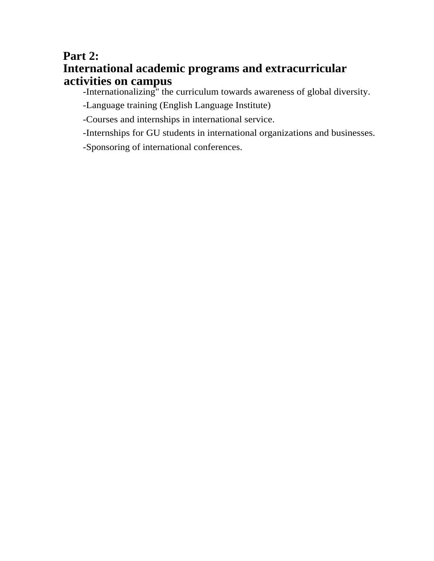# **Part 2: International academic programs and extracurricular activities on campus**

-Internationalizing" the curriculum towards awareness of global diversity.

-Language training (English Language Institute)

-Courses and internships in international service.

-Internships for GU students in international organizations and businesses.

-Sponsoring of international conferences.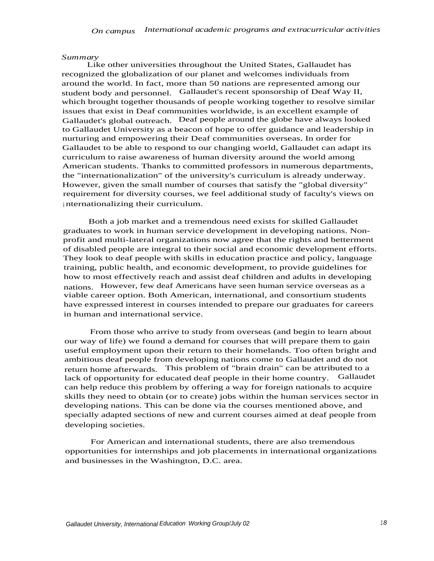#### *Summary*

Like other universities throughout the United States, Gallaudet has recognized the globalization of our planet and welcomes individuals from around the world. In fact, more than 50 nations are represented among our student body and personnel. Gallaudet's recent sponsorship of Deaf Way II, which brought together thousands of people working together to resolve similar issues that exist in Deaf communities worldwide, is an excellent example of Gallaudet's global outreach. Deaf people around the globe have always looked to Gallaudet University as a beacon of hope to offer guidance and leadership in nurturing and empowering their Deaf communities overseas. In order for Gallaudet to be able to respond to our changing world, Gallaudet can adapt its curriculum to raise awareness of human diversity around the world among American students. Thanks to committed professors in numerous departments, the "internationalization" of the university's curriculum is already underway. However, given the small number of courses that satisfy the "global diversity" requirement for diversity courses, we feel additional study of faculty's views on <sup>i</sup> nternationalizing their curriculum.

Both a job market and a tremendous need exists for skilled Gallaudet graduates to work in human service development in developing nations. Nonprofit and multi-lateral organizations now agree that the rights and betterment of disabled people are integral to their social and economic development efforts. They look to deaf people with skills in education practice and policy, language training, public health, and economic development, to provide guidelines for how to most effectively reach and assist deaf children and adults in developing nations. However, few deaf Americans have seen human service overseas as a viable career option. Both American, international, and consortium students have expressed interest in courses intended to prepare our graduates for careers in human and international service.

From those who arrive to study from overseas (and begin to learn about our way of life) we found a demand for courses that will prepare them to gain useful employment upon their return to their homelands. Too often bright and ambitious deaf people from developing nations come to Gallaudet and do not return home afterwards. This problem of "brain drain" can be attributed to a lack of opportunity for educated deaf people in their home country. Gallaudet lack of opportunity for educated deaf people in their home country. can help reduce this problem by offering a way for foreign nationals to acquire skills they need to obtain (or to create) jobs within the human services sector in developing nations. This can be done via the courses mentioned above, and specially adapted sections of new and current courses aimed at deaf people from developing societies.

For American and international students, there are also tremendous opportunities for internships and job placements in international organizations and businesses in the Washington, D.C. area.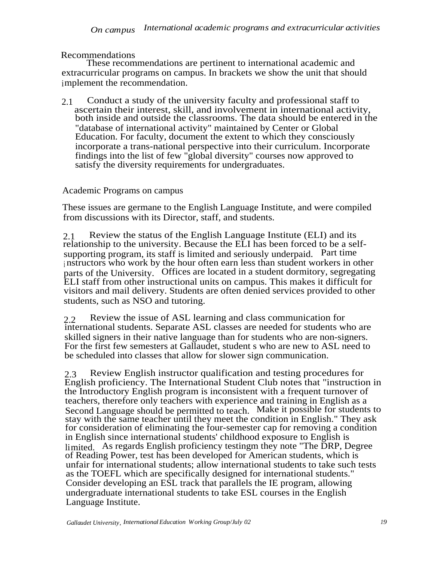Recommendations

These recommendations are pertinent to international academic and extracurricular programs on campus. In brackets we show the unit that should implement the recommendation.

2.1 Conduct a study of the university faculty and professional staff to ascertain their interest, skill, and involvement in international activity, both inside and outside the classrooms. The data should be entered in the "database of international activity" maintained by Center or Global Education. For faculty, document the extent to which they consciously incorporate a trans-national perspective into their curriculum. Incorporate findings into the list of few "global diversity" courses now approved to satisfy the diversity requirements for undergraduates.

# Academic Programs on campus

These issues are germane to the English Language Institute, and were compiled from discussions with its Director, staff, and students.

2.1 Review the status of the English Language Institute (ELI) and its relationship to the university. Because the ELI has been forced to be a selfsupporting program, its staff is limited and seriously underpaid. Part time instructors who work by the hour often earn less than student workers in other parts of the University. Offices are located in a student dormitory, segregating ELI staff from other instructional units on campus. This makes it difficult for visitors and mail delivery. Students are often denied services provided to other students, such as NSO and tutoring.

2.2 Review the issue of ASL learning and class communication for international students. Separate ASL classes are needed for students who are skilled signers in their native language than for students who are non-signers. For the first few semesters at Gallaudet, student s who are new to ASL need to be scheduled into classes that allow for slower sign communication.

2.3 Review English instructor qualification and testing procedures for English proficiency. The International Student Club notes that "instruction in the Introductory English program is inconsistent with a frequent turnover of teachers, therefore only teachers with experience and training in English as a Second Language should be permitted to teach. Make it possible for students to stay with the same teacher until they meet the condition in English." They ask for consideration of eliminating the four-semester cap for removing a condition in English since international students' childhood exposure to English is limited. As regards English proficiency testingm they note "The DRP, Degree" of Reading Power, test has been developed for American students, which is unfair for international students; allow international students to take such tests as the TOEFL which are specifically designed for international students." Consider developing an ESL track that parallels the IE program, allowing undergraduate international students to take ESL courses in the English Language Institute.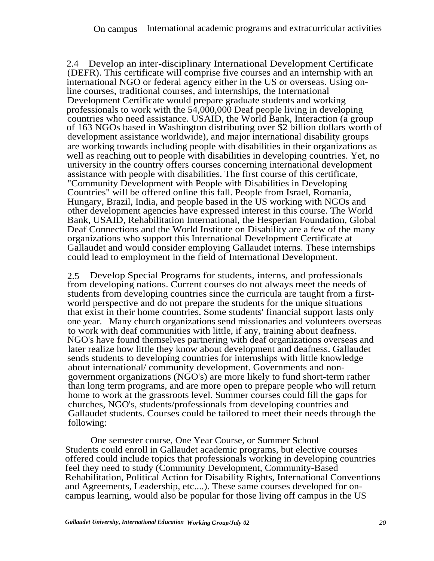2.4 Develop an inter-disciplinary International Development Certificate (DEFR). This certificate will comprise five courses and an internship with an international NGO or federal agency either in the US or overseas. Using online courses, traditional courses, and internships, the International Development Certificate would prepare graduate students and working professionals to work with the 54,000,000 Deaf people living in developing countries who need assistance. USAID, the World Bank, Interaction (a group of 163 NGOs based in Washington distributing over \$2 billion dollars worth of development assistance worldwide), and major international disability groups are working towards including people with disabilities in their organizations as well as reaching out to people with disabilities in developing countries. Yet, no university in the country offers courses concerning international development assistance with people with disabilities. The first course of this certificate, "Community Development with People with Disabilities in Developing Countries" will be offered online this fall. People from Israel, Romania, Hungary, Brazil, India, and people based in the US working with NGOs and other development agencies have expressed interest in this course. The World Bank, USAID, Rehabilitation International, the Hesperian Foundation, Global Deaf Connections and the World Institute on Disability are a few of the many organizations who support this International Development Certificate at Gallaudet and would consider employing Gallaudet interns. These internships could lead to employment in the field of International Development.

2.5 Develop Special Programs for students, interns, and professionals from developing nations. Current courses do not always meet the needs of students from developing countries since the curricula are taught from a firstworld perspective and do not prepare the students for the unique situations that exist in their home countries. Some students' financial support lasts only one year. Many church organizations send missionaries and volunteers overseas to work with deaf communities with little, if any, training about deafness. NGO's have found themselves partnering with deaf organizations overseas and later realize how little they know about development and deafness. Gallaudet sends students to developing countries for internships with little knowledge about international/ community development. Governments and nongovernment organizations (NGO's) are more likely to fund short-term rather than long term programs, and are more open to prepare people who will return home to work at the grassroots level. Summer courses could fill the gaps for churches, NGO's, students/professionals from developing countries and Gallaudet students. Courses could be tailored to meet their needs through the following:

One semester course, One Year Course, or Summer School Students could enroll in Gallaudet academic programs, but elective courses offered could include topics that professionals working in developing countries feel they need to study (Community Development, Community-Based Rehabilitation, Political Action for Disability Rights, International Conventions and Agreements, Leadership, etc....). These same courses developed for oncampus learning, would also be popular for those living off campus in the US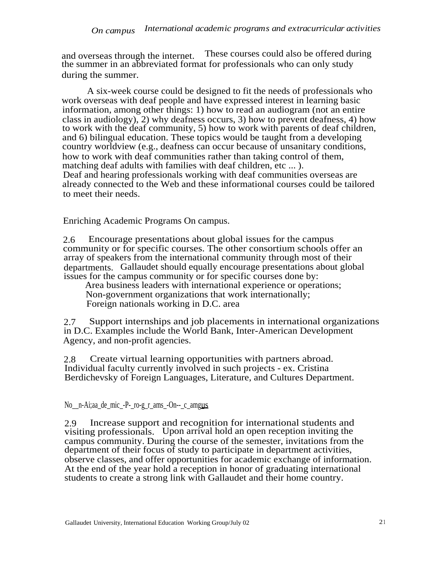and overseas through the internet. These courses could also be offered during the summer in an abbreviated format for professionals who can only study during the summer.

A six-week course could be designed to fit the needs of professionals who work overseas with deaf people and have expressed interest in learning basic information, among other things: 1) how to read an audiogram (not an entire class in audiology), 2) why deafness occurs, 3) how to prevent deafness, 4) how to work with the deaf community, 5) how to work with parents of deaf children, and 6) bilingual education. These topics would be taught from a developing country worldview (e.g., deafness can occur because of unsanitary conditions, how to work with deaf communities rather than taking control of them, matching deaf adults with families with deaf children, etc ... ). Deaf and hearing professionals working with deaf communities overseas are already connected to the Web and these informational courses could be tailored to meet their needs.

Enriching Academic Programs On campus.

2.6 Encourage presentations about global issues for the campus community or for specific courses. The other consortium schools offer an array of speakers from the international community through most of their departments. Gallaudet should equally encourage presentations about global issues for the campus community or for specific courses done by:

Area business leaders with international experience or operations; Non-government organizations that work internationally; Foreign nationals working in D.C. area

2.7 Support internships and job placements in international organizations in D.C. Examples include the World Bank, Inter-American Development Agency, and non-profit agencies.

2.8 Create virtual learning opportunities with partners abroad. Individual faculty currently involved in such projects - ex. Cristina Berdichevsky of Foreign Languages, Literature, and Cultures Department.

# No\_n-Ai;aa\_de\_mic\_-P-\_ro-g\_r\_ams\_-On--\_c\_amgus

2.9 Increase support and recognition for international students and visiting professionals. Upon arrival hold an open reception inviting the campus community. During the course of the semester, invitations from the department of their focus of study to participate in department activities, observe classes, and offer opportunities for academic exchange of information. At the end of the year hold a reception in honor of graduating international students to create a strong link with Gallaudet and their home country.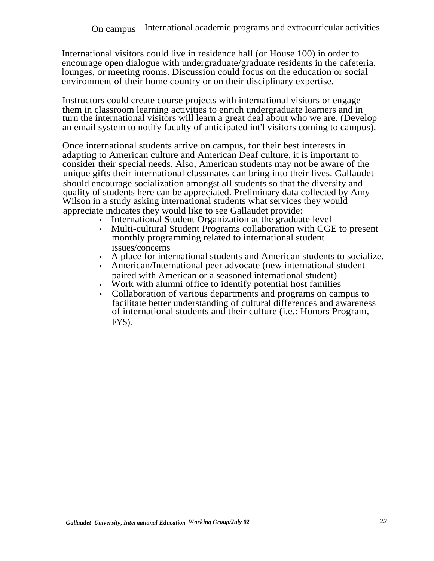International visitors could live in residence hall (or House 100) in order to encourage open dialogue with undergraduate/graduate residents in the cafeteria, lounges, or meeting rooms. Discussion could focus on the education or social environment of their home country or on their disciplinary expertise.

Instructors could create course projects with international visitors or engage them in classroom learning activities to enrich undergraduate learners and in turn the international visitors will learn a great deal about who we are. (Develop an email system to notify faculty of anticipated int'l visitors coming to campus).

Once international students arrive on campus, for their best interests in adapting to American culture and American Deaf culture, it is important to consider their special needs. Also, American students may not be aware of the unique gifts their international classmates can bring into their lives. Gallaudet should encourage socialization amongst all students so that the diversity and quality of students here can be appreciated. Preliminary data collected by Amy Wilson in a study asking international students what services they would appreciate indicates they would like to see Gallaudet provide:

- International Student Organization at the graduate level
- Multi-cultural Student Programs collaboration with CGE to present monthly programming related to international student issues/concerns
- A place for international students and American students to socialize.
- American/International peer advocate (new international student paired with American or a seasoned international student)
- Work with alumni office to identify potential host families
- Collaboration of various departments and programs on campus to facilitate better understanding of cultural differences and awareness of international students and their culture (i.e.: Honors Program, FYS).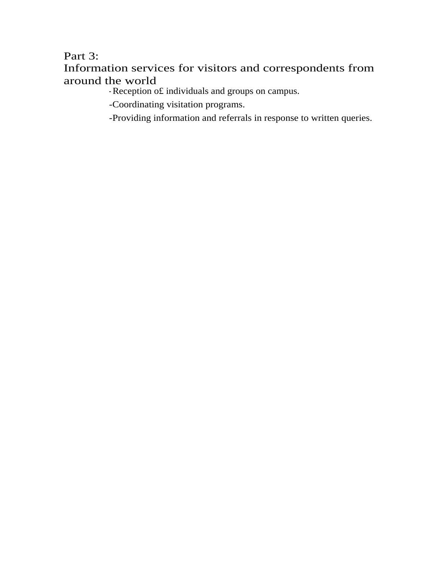# Part 3:

# Information services for visitors and correspondents from around the world

- Reception o£ individuals and groups on campus.

-Coordinating visitation programs.

-Providing information and referrals in response to written queries.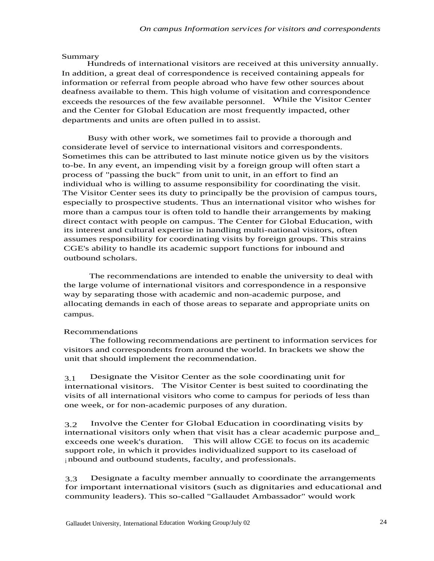#### Summary

Hundreds of international visitors are received at this university annually. In addition, a great deal of correspondence is received containing appeals for information or referral from people abroad who have few other sources about deafness available to them. This high volume of visitation and correspondence exceeds the resources of the few available personnel. While the Visitor Center and the Center for Global Education are most frequently impacted, other departments and units are often pulled in to assist.

Busy with other work, we sometimes fail to provide a thorough and considerate level of service to international visitors and correspondents. Sometimes this can be attributed to last minute notice given us by the visitors to-be. In any event, an impending visit by a foreign group will often start a process of "passing the buck" from unit to unit, in an effort to find an individual who is willing to assume responsibility for coordinating the visit. The Visitor Center sees its duty to principally be the provision of campus tours, especially to prospective students. Thus an international visitor who wishes for more than a campus tour is often told to handle their arrangements by making direct contact with people on campus. The Center for Global Education, with its interest and cultural expertise in handling multi-national visitors, often assumes responsibility for coordinating visits by foreign groups. This strains CGE's ability to handle its academic support functions for inbound and outbound scholars.

The recommendations are intended to enable the university to deal with the large volume of international visitors and correspondence in a responsive way by separating those with academic and non-academic purpose, and allocating demands in each of those areas to separate and appropriate units on campus.

#### Recommendations

The following recommendations are pertinent to information services for visitors and correspondents from around the world. In brackets we show the unit that should implement the recommendation.

3.1 Designate the Visitor Center as the sole coordinating unit for international visitors. The Visitor Center is best suited to coordinating the visits of all international visitors who come to campus for periods of less than one week, or for non-academic purposes of any duration.

3.2 Involve the Center for Global Education in coordinating visits by international visitors only when that visit has a clear academic purpose and\_ exceeds one week's duration. This will allow CGE to focus on its academic support role, in which it provides individualized support to its caseload of <sup>i</sup> nbound and outbound students, faculty, and professionals.

3.3 Designate a faculty member annually to coordinate the arrangements for important international visitors (such as dignitaries and educational and community leaders). This so-called "Gallaudet Ambassador" would work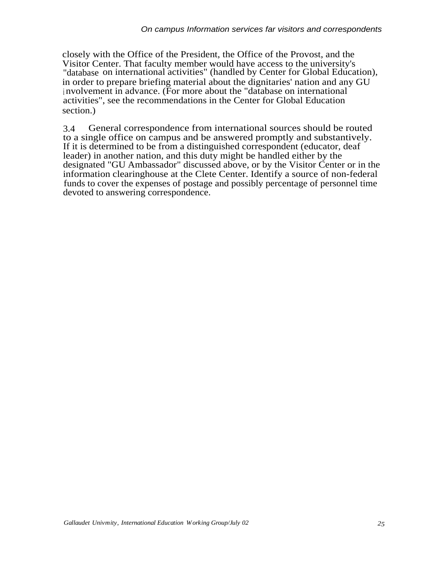closely with the Office of the President, the Office of the Provost, and the Visitor Center. That faculty member would have access to the university's "database on international activities" (handled by Center for Global Education), in order to prepare briefing material about the dignitaries' nation and any GU <sup>i</sup> nvolvement in advance. (For more about the "database on international activities", see the recommendations in the Center for Global Education section.)

3.4 General correspondence from international sources should be routed to a single office on campus and be answered promptly and substantively. If it is determined to be from a distinguished correspondent (educator, deaf leader) in another nation, and this duty might be handled either by the designated "GU Ambassador" discussed above, or by the Visitor Center or in the information clearinghouse at the Clete Center. Identify a source of non-federal funds to cover the expenses of postage and possibly percentage of personnel time devoted to answering correspondence.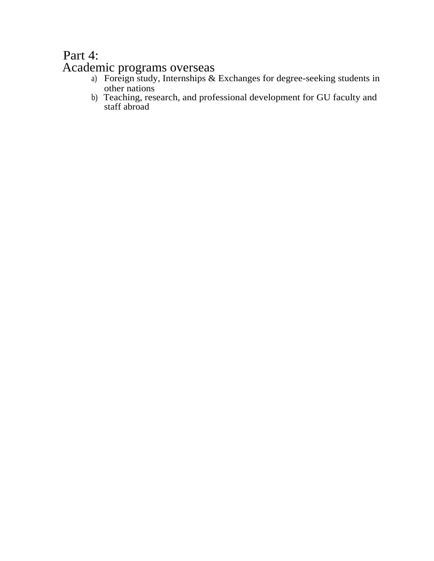# Part 4: Academic programs overseas

- a) Foreign study, Internships & Exchanges for degree-seeking students in other nations
- b) Teaching, research, and professional development for GU faculty and staff abroad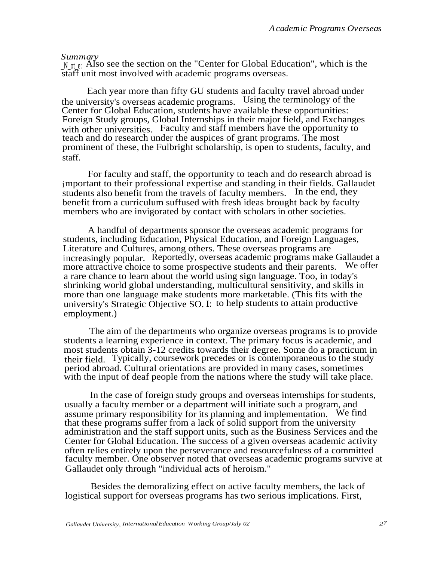#### *Summary*

 $N_{\text{off}}$  e: Also see the section on the "Center for Global Education", which is the staff unit most involved with academic programs overseas.

Each year more than fifty GU students and faculty travel abroad under the university's overseas academic programs. Using the terminology of the Center for Global Education, students have available these opportunities: Foreign Study groups, Global Internships in their major field, and Exchanges with other universities. Faculty and staff members have the opportunity to teach and do research under the auspices of grant programs. The most prominent of these, the Fulbright scholarship, is open to students, faculty, and staff.

For faculty and staff, the opportunity to teach and do research abroad is important to their professional expertise and standing in their fields. Gallaudet students also benefit from the travels of faculty members. In the end, they benefit from a curriculum suffused with fresh ideas brought back by faculty members who are invigorated by contact with scholars in other societies.

A handful of departments sponsor the overseas academic programs for students, including Education, Physical Education, and Foreign Languages, Literature and Cultures, among others. These overseas programs are increasingly popular. Reportedly, overseas academic programs make Gallaudet a more attractive choice to some prospective students and their parents. a rare chance to learn about the world using sign language. Too, in today's shrinking world global understanding, multicultural sensitivity, and skills in more than one language make students more marketable. (This fits with the university's Strategic Objective SO. I: to help students to attain productive employment.)

The aim of the departments who organize overseas programs is to provide students a learning experience in context. The primary focus is academic, and most students obtain 3-12 credits towards their degree. Some do a practicum in their field. Typically, coursework precedes or is contemporaneous to the study period abroad. Cultural orientations are provided in many cases, sometimes with the input of deaf people from the nations where the study will take place.

In the case of foreign study groups and overseas internships for students, usually a faculty member or a department will initiate such a program, and assume primary responsibility for its planning and implementation. We find that these programs suffer from a lack of solid support from the university administration and the staff support units, such as the Business Services and the Center for Global Education. The success of a given overseas academic activity often relies entirely upon the perseverance and resourcefulness of a committed faculty member. One observer noted that overseas academic programs survive at Gallaudet only through "individual acts of heroism."

Besides the demoralizing effect on active faculty members, the lack of logistical support for overseas programs has two serious implications. First,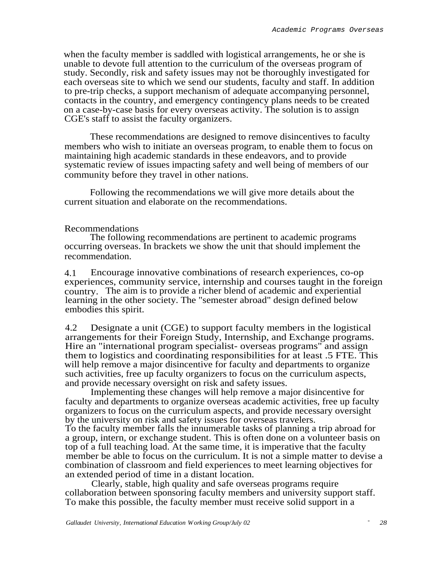when the faculty member is saddled with logistical arrangements, he or she is unable to devote full attention to the curriculum of the overseas program of study. Secondly, risk and safety issues may not be thoroughly investigated for each overseas site to which we send our students, faculty and staff. In addition to pre-trip checks, a support mechanism of adequate accompanying personnel, contacts in the country, and emergency contingency plans needs to be created on a case-by-case basis for every overseas activity. The solution is to assign CGE's staff to assist the faculty organizers.

These recommendations are designed to remove disincentives to faculty members who wish to initiate an overseas program, to enable them to focus on maintaining high academic standards in these endeavors, and to provide systematic review of issues impacting safety and well being of members of our community before they travel in other nations.

Following the recommendations we will give more details about the current situation and elaborate on the recommendations.

## Recommendations

The following recommendations are pertinent to academic programs occurring overseas. In brackets we show the unit that should implement the recommendation.

4.1 Encourage innovative combinations of research experiences, co-op experiences, community service, internship and courses taught in the foreign country. The aim is to provide a richer blend of academic and experiential learning in the other society. The "semester abroad" design defined below embodies this spirit.

4.2 Designate a unit (CGE) to support faculty members in the logistical arrangements for their Foreign Study, Internship, and Exchange programs. Hire an "international program specialist- overseas programs" and assign them to logistics and coordinating responsibilities for at least .5 FTE. This will help remove a major disincentive for faculty and departments to organize such activities, free up faculty organizers to focus on the curriculum aspects, and provide necessary oversight on risk and safety issues.

Implementing these changes will help remove a major disincentive for faculty and departments to organize overseas academic activities, free up faculty organizers to focus on the curriculum aspects, and provide necessary oversight by the university on risk and safety issues for overseas travelers.

To the faculty member falls the innumerable tasks of planning a trip abroad for a group, intern, or exchange student. This is often done on a volunteer basis on top of a full teaching load. At the same time, it is imperative that the faculty member be able to focus on the curriculum. It is not a simple matter to devise a combination of classroom and field experiences to meet learning objectives for an extended period of time in a distant location.

Clearly, stable, high quality and safe overseas programs require collaboration between sponsoring faculty members and university support staff. To make this possible, the faculty member must receive solid support in a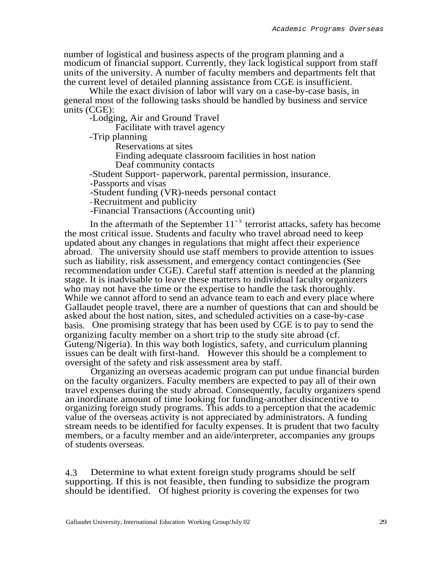number of logistical and business aspects of the program planning and a modicum of financial support. Currently, they lack logistical support from staff units of the university. A number of faculty members and departments felt that the current level of detailed planning assistance from CGE is insufficient.

While the exact division of labor will vary on a case-by-case basis, in general most of the following tasks should be handled by business and service units (CGE):

-Lodging, Air and Ground Travel

Facilitate with travel agency

-Trip planning

Reservations at sites

Finding adequate classroom facilities in host nation

Deaf community contacts

-Student Support- paperwork, parental permission, insurance.

-Passports and visas

-Student funding (VR)-needs personal contact

- Recruitment and publicity

-Financial Transactions (Accounting unit)

In the aftermath of the September  $11<sup>h</sup>$  terrorist attacks, safety has become the most critical issue. Students and faculty who travel abroad need to keep updated about any changes in regulations that might affect their experience abroad. The university should use staff members to provide attention to issues such as liability, risk assessment, and emergency contact contingencies (See recommendation under CGE). Careful staff attention is needed at the planning stage. It is inadvisable to leave these matters to individual faculty organizers who may not have the time or the expertise to handle the task thoroughly. While we cannot afford to send an advance team to each and every place where Gallaudet people travel, there are a number of questions that can and should be asked about the host nation, sites, and scheduled activities on a case-by-case basis. One promising strategy that has been used by CGE is to pay to send the organizing faculty member on a short trip to the study site abroad (cf. Guteng/Nigeria). In this way both logistics, safety, and curriculum planning issues can be dealt with first-hand. However this should be a complement to oversight of the safety and risk assessment area by staff.

Organizing an overseas academic program can put undue financial burden on the faculty organizers. Faculty members are expected to pay all of their own travel expenses during the study abroad. Consequently, faculty organizers spend an inordinate amount of time looking for funding-another disincentive to organizing foreign study programs. This adds to a perception that the academic value of the overseas activity is not appreciated by administrators. A funding stream needs to be identified for faculty expenses. It is prudent that two faculty members, or a faculty member and an aide/interpreter, accompanies any groups of students overseas.

4.3 Determine to what extent foreign study programs should be self supporting. If this is not feasible, then funding to subsidize the program should be identified. Of highest priority is covering the expenses for two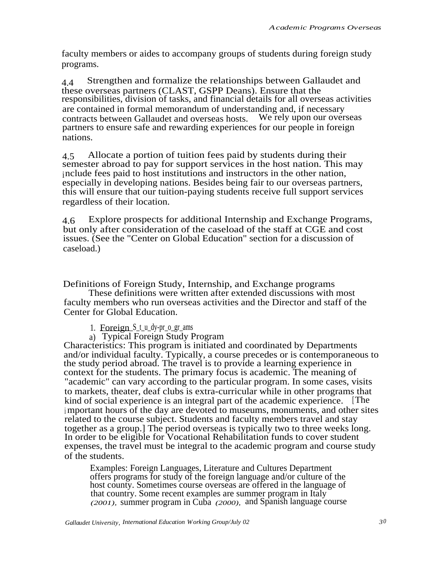faculty members or aides to accompany groups of students during foreign study programs.

4.4 Strengthen and formalize the relationships between Gallaudet and these overseas partners (CLAST, GSPP Deans). Ensure that the responsibilities, division of tasks, and financial details for all overseas activities are contained in formal memorandum of understanding and, if necessary contracts between Gallaudet and overseas hosts. We rely upon our overseas partners to ensure safe and rewarding experiences for our people in foreign nations.

4.5 Allocate a portion of tuition fees paid by students during their semester abroad to pay for support services in the host nation. This may include fees paid to host institutions and instructors in the other nation, especially in developing nations. Besides being fair to our overseas partners, this will ensure that our tuition-paying students receive full support services regardless of their location.

4.6 Explore prospects for additional Internship and Exchange Programs, but only after consideration of the caseload of the staff at CGE and cost issues. (See the "Center on Global Education" section for a discussion of caseload.)

Definitions of Foreign Study, Internship, and Exchange programs

These definitions were written after extended discussions with most faculty members who run overseas activities and the Director and staff of the Center for Global Education.

1. Foreign  $S_t$  u dy-pr  $\circ$  gr ams

a) Typical Foreign Study Program

Characteristics: This program is initiated and coordinated by Departments and/or individual faculty. Typically, a course precedes or is contemporaneous to the study period abroad. The travel is to provide a learning experience in context for the students. The primary focus is academic. The meaning of "academic" can vary according to the particular program. In some cases, visits to markets, theater, deaf clubs is extra-curricular while in other programs that kind of social experience is an integral part of the academic experience. [The <sup>i</sup> mportant hours of the day are devoted to museums, monuments, and other sites related to the course subject. Students and faculty members travel and stay together as a group.] The period overseas is typically two to three weeks long. In order to be eligible for Vocational Rehabilitation funds to cover student expenses, the travel must be integral to the academic program and course study of the students.

Examples: Foreign Languages, Literature and Cultures Department offers programs for study of the foreign language and/or culture of the host county. Sometimes course overseas are offered in the language of that country. Some recent examples are summer program in Italy *(2001),* summer program in Cuba *(2000),* and Spanish language course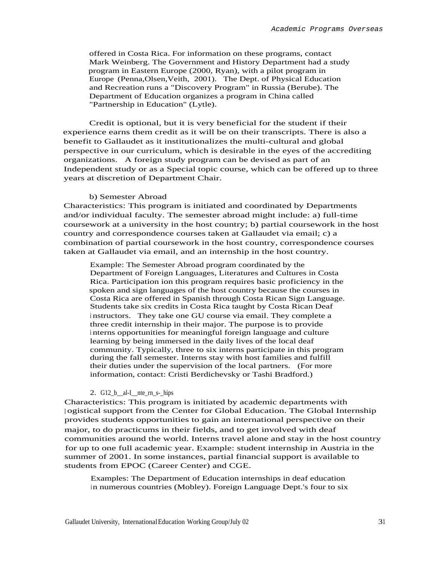offered in Costa Rica. For information on these programs, contact Mark Weinberg. The Government and History Department had a study program in Eastern Europe (2000, Ryan), with a pilot program in Europe (Penna,Olsen,Veith, 2001). The Dept. of Physical Education and Recreation runs a "Discovery Program" in Russia (Berube). The Department of Education organizes a program in China called "Partnership in Education" (Lytle).

Credit is optional, but it is very beneficial for the student if their experience earns them credit as it will be on their transcripts. There is also a benefit to Gallaudet as it institutionalizes the multi-cultural and global perspective in our curriculum, which is desirable in the eyes of the accrediting organizations. A foreign study program can be devised as part of an Independent study or as a Special topic course, which can be offered up to three years at discretion of Department Chair.

#### b) Semester Abroad

Characteristics: This program is initiated and coordinated by Departments and/or individual faculty. The semester abroad might include: a) full-time coursework at a university in the host country; b) partial coursework in the host country and correspondence courses taken at Gallaudet via email; c) a combination of partial coursework in the host country, correspondence courses taken at Gallaudet via email, and an internship in the host country.

Example: The Semester Abroad program coordinated by the Department of Foreign Languages, Literatures and Cultures in Costa Rica. Participation ion this program requires basic proficiency in the spoken and sign languages of the host country because the courses in Costa Rica are offered in Spanish through Costa Rican Sign Language. Students take six credits in Costa Rica taught by Costa Rican Deaf <sup>i</sup> nstructors. They take one GU course via email. They complete a three credit internship in their major. The purpose is to provide <sup>i</sup> nterns opportunities for meaningful foreign language and culture learning by being immersed in the daily lives of the local deaf community. Typically, three to six interns participate in this program during the fall semester. Interns stay with host families and fulfill their duties under the supervision of the local partners. (For more information, contact: Cristi Berdichevsky or Tashi Bradford.)

#### 2. G12\_b\_al-I\_nte\_rn\_s-\_hips

Characteristics: This program is initiated by academic departments with <sup>l</sup> ogistical support from the Center for Global Education. The Global Internship provides students opportunities to gain an international perspective on their major, to do practicums in their fields, and to get involved with deaf communities around the world. Interns travel alone and stay in the host country for up to one full academic year. Example: student internship in Austria in the summer of 2001. In some instances, partial financial support is available to students from EPOC (Career Center) and CGE.

Examples: The Department of Education internships in deaf education in numerous countries (Mobley). Foreign Language Dept.'s four to six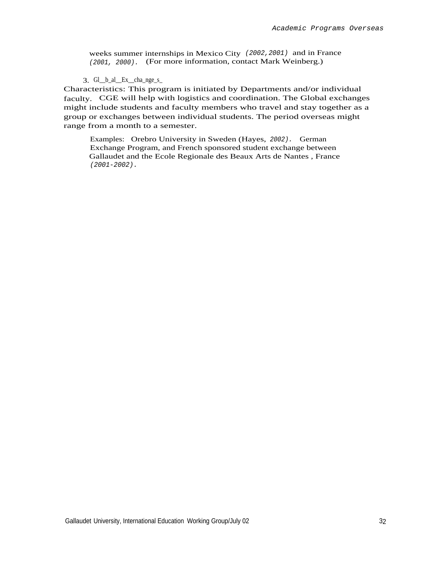weeks summer internships in Mexico City (2002,2001) and in France (2001, 2000). (For more information, contact Mark Weinberg.)

3. Gl\_\_b\_al\_\_Ex\_\_cha\_nge\_s\_

Characteristics: This program is initiated by Departments and/or individual faculty. CGE will help with logistics and coordination. The Global exchanges might include students and faculty members who travel and stay together as a group or exchanges between individual students. The period overseas might range from a month to a semester.

Examples: Orebro University in Sweden (Hayes, 2002). German Exchange Program, and French sponsored student exchange between Gallaudet and the Ecole Regionale des Beaux Arts de Nantes , France (2001-2002).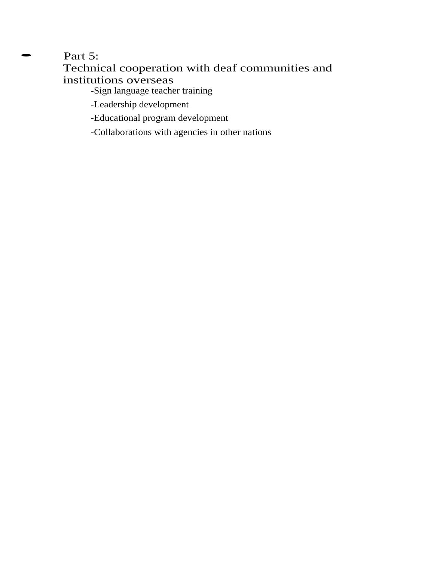Part 5: Technical cooperation with deaf communities and institutions overseas

-Sign language teacher training

-Leadership development

-Educational program development

-Collaborations with agencies in other nations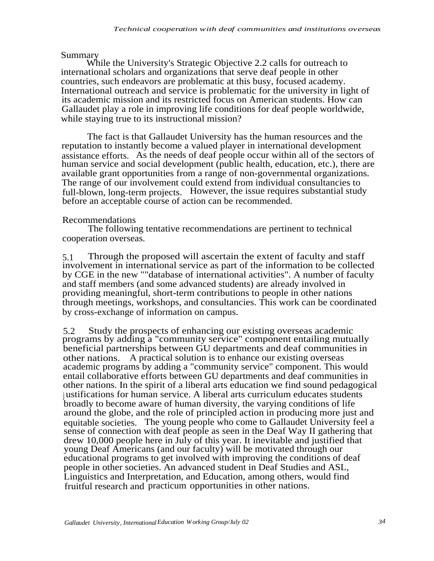# Summary

While the University's Strategic Objective 2.2 calls for outreach to international scholars and organizations that serve deaf people in other countries, such endeavors are problematic at this busy, focused academy. International outreach and service is problematic for the university in light of its academic mission and its restricted focus on American students. How can Gallaudet play a role in improving life conditions for deaf people worldwide, while staying true to its instructional mission?

The fact is that Gallaudet University has the human resources and the reputation to instantly become a valued player in international development assistance efforts. As the needs of deaf people occur within all of the sectors of human service and social development (public health, education, etc.), there are available grant opportunities from a range of non-governmental organizations. The range of our involvement could extend from individual consultancies to full-blown, long-term projects. However, the issue requires substantial study before an acceptable course of action can be recommended.

# Recommendations

The following tentative recommendations are pertinent to technical cooperation overseas.

5.1 Through the proposed will ascertain the extent of faculty and staff involvement in international service as part of the information to be collected by CGE in the new ""database of international activities". A number of faculty and staff members (and some advanced students) are already involved in providing meaningful, short-term contributions to people in other nations through meetings, workshops, and consultancies. This work can be coordinated by cross-exchange of information on campus.

5.2 Study the prospects of enhancing our existing overseas academic programs by adding a "community service" component entailing mutually beneficial partnerships between GU departments and deaf communities in other nations. A practical solution is to enhance our existing overseas academic programs by adding a "community service" component. This would entail collaborative efforts between GU departments and deaf communities in other nations. In the spirit of a liberal arts education we find sound pedagogical justifications for human service. A liberal arts curriculum educates students broadly to become aware of human diversity, the varying conditions of life around the globe, and the role of principled action in producing more just and equitable societies. The young people who come to Gallaudet University feel a sense of connection with deaf people as seen in the Deaf Way II gathering that drew 10,000 people here in July of this year. It inevitable and justified that young Deaf Americans (and our faculty) will be motivated through our educational programs to get involved with improving the conditions of deaf people in other societies. An advanced student in Deaf Studies and ASL, Linguistics and Interpretation, and Education, among others, would find fruitful research and practicum opportunities in other nations.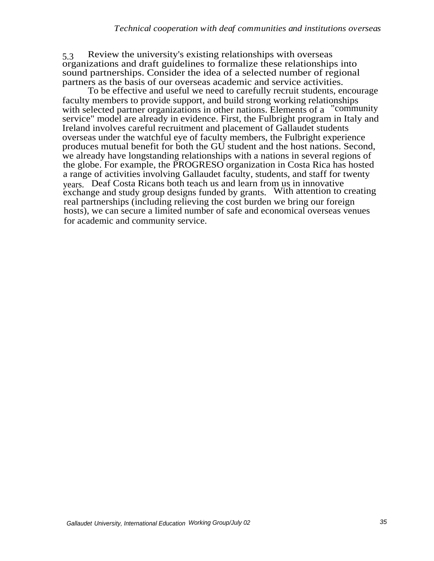5.3 Review the university's existing relationships with overseas organizations and draft guidelines to formalize these relationships into sound partnerships. Consider the idea of a selected number of regional partners as the basis of our overseas academic and service activities.

To be effective and useful we need to carefully recruit students, encourage faculty members to provide support, and build strong working relationships with selected partner organizations in other nations. Elements of a "community service" model are already in evidence. First, the Fulbright program in Italy and Ireland involves careful recruitment and placement of Gallaudet students overseas under the watchful eye of faculty members, the Fulbright experience produces mutual benefit for both the GU student and the host nations. Second, we already have longstanding relationships with a nations in several regions of the globe. For example, the PROGRESO organization in Costa Rica has hosted a range of activities involving Gallaudet faculty, students, and staff for twenty years. Deaf Costa Ricans both teach us and learn from us in innovative exchange and study group designs funded by grants. With attention to creating real partnerships (including relieving the cost burden we bring our foreign hosts), we can secure a limited number of safe and economical overseas venues for academic and community service.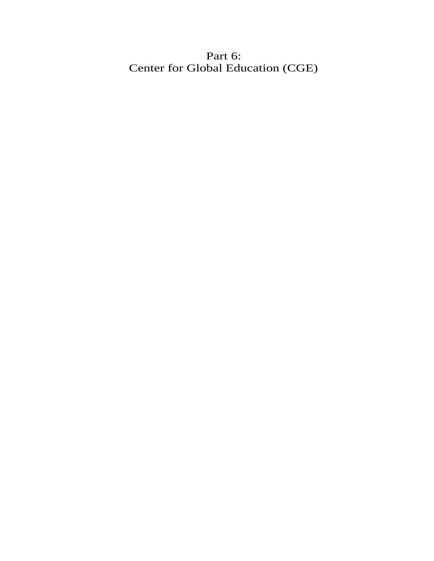Part 6: Center for Global Education (CGE)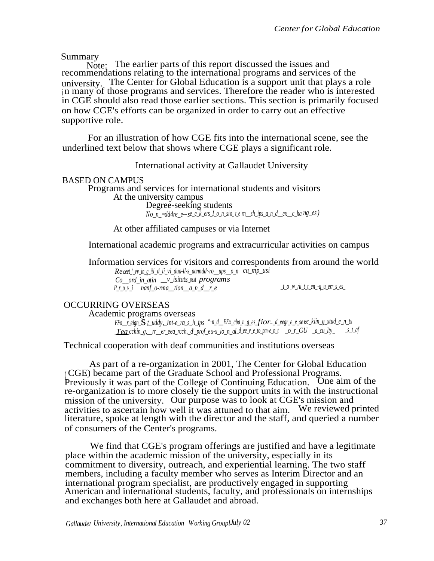Summary

Note: The earlier parts of this report discussed the issues and recommendations relating to the international programs and services of the university. The Center for Global Education is a support unit that plays a role <sup>i</sup> n many of those programs and services. Therefore the reader who is interested in CGE should also read those earlier sections. This section is primarily focused on how CGE's efforts can be organized in order to carry out an effective supportive role.

For an illustration of how CGE fits into the international scene, see the underlined text below that shows where CGE plays a significant role.

International activity at Gallaudet University

### BASED ON CAMPUS

Programs and services for international students and visitors At the university campus Degree-seeking students *No\_n\_=dd4re\_e---se\_e\_k\_ers\_I\_o\_n\_si n\_ t\_e rn\_\_sh\_ips\_a\_n\_d\_\_ex\_\_c\_ha ng\_es)*

At other affiliated campuses or via Internet

International academic programs and extracurricular activities on campus

Information services for visitors and correspondents from around the world *<i>ceet* '*vv* in g\_iii\_d\_ii\_vi\_dua-ll-s\_aanndd~ro\_\_ups\_\_o\_n *\_mp\_usi* 

*Co\_\_ord\_in\_atin \_\_v\_isitats-\_ozxt programs P\_r\_o\_v\_i nanf\_o-rma\_\_tion\_\_a\_n\_d\_\_r\_e \_t\_o* -*w\_rii\_t\_t\_en\_-q\_u\_err\_s\_es\_*

## OCCURRING OVERSEAS

Academic programs overseas *FFo\_\_r\_eign\_*s*-t\_uddy,\_Int-e\_ra\_s\_h\_ips n\_d\_\_EEx\_cba\_n\_g\_es\_fior-\_d\_eegr\_e\_e\_se - ee\_kiin\_g\_stud\_e\_n\_ts a\_ \_Tea\_\_cchin\_g,\_\_rr\_\_er\_eea\_rcch,\_d'\_prof\_e s-s\_io\_n\_al\_d\_ee\_v\_e\_to\_pm-e\_n\_t \_o\_r\_GU \_a\_cu\_lty\_ \_s\_t\_af*

Technical cooperation with deaf communities and institutions overseas

As part of a re-organization in 2001, The Center for Global Education ( CGE) became part of the Graduate School and Professional Programs. Previously it was part of the College of Continuing Education. One aim of the re-organization is to more closely tie the support units in with the instructional mission of the university. Our purpose was to look at CGE's mission and activities to ascertain how well it was attuned to that aim. We reviewed printed literature, spoke at length with the director and the staff, and queried a number of consumers of the Center's programs.

We find that CGE's program offerings are justified and have a legitimate place within the academic mission of the university, especially in its commitment to diversity, outreach, and experiential learning. The two staff members, including a faculty member who serves as Interim Director and an international program specialist, are productively engaged in supporting American and international students, faculty, and professionals on internships and exchanges both here at Gallaudet and abroad.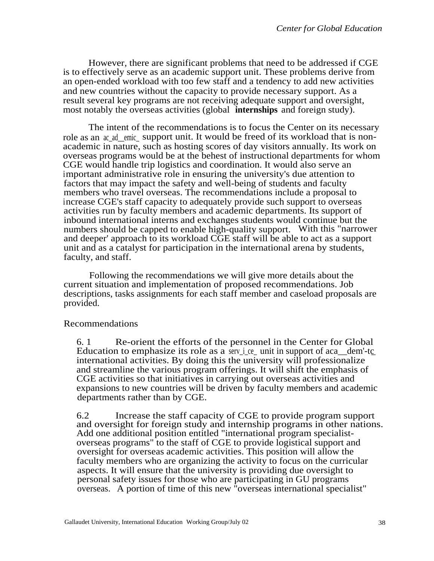However, there are significant problems that need to be addressed if CGE is to effectively serve as an academic support unit. These problems derive from an open-ended workload with too few staff and a tendency to add new activities and new countries without the capacity to provide necessary support. As a result several key programs are not receiving adequate support and oversight, most notably the overseas activities (global **internships** and foreign study).

The intent of the recommendations is to focus the Center on its necessary role as an ac ad emic support unit. It would be freed of its workload that is nonacademic in nature, such as hosting scores of day visitors annually. Its work on overseas programs would be at the behest of instructional departments for whom CGE would handle trip logistics and coordination. It would also serve an important administrative role in ensuring the university's due attention to factors that may impact the safety and well-being of students and faculty members who travel overseas. The recommendations include a proposal to increase CGE's staff capacity to adequately provide such support to overseas activities run by faculty members and academic departments. Its support of inbound international interns and exchanges students would continue but the numbers should be capped to enable high-quality support. With this "narrower and deeper' approach to its workload CGE staff will be able to act as a support unit and as a catalyst for participation in the international arena by students, faculty, and staff.

Following the recommendations we will give more details about the current situation and implementation of proposed recommendations. Job descriptions, tasks assignments for each staff member and caseload proposals are provided.

## Recommendations

6. 1 Re-orient the efforts of the personnel in the Center for Global Education to emphasize its role as a serv i ce\_ unit in support of aca\_dem'-tc international activities. By doing this the university will professionalize and streamline the various program offerings. It will shift the emphasis of CGE activities so that initiatives in carrying out overseas activities and expansions to new countries will be driven by faculty members and academic departments rather than by CGE.

6.2 Increase the staff capacity of CGE to provide program support and oversight for foreign study and internship programs in other nations. Add one additional position entitled "international program specialistoverseas programs" to the staff of CGE to provide logistical support and oversight for overseas academic activities. This position will allow the faculty members who are organizing the activity to focus on the curricular aspects. It will ensure that the university is providing due oversight to personal safety issues for those who are participating in GU programs overseas. A portion of time of this new "overseas international specialist"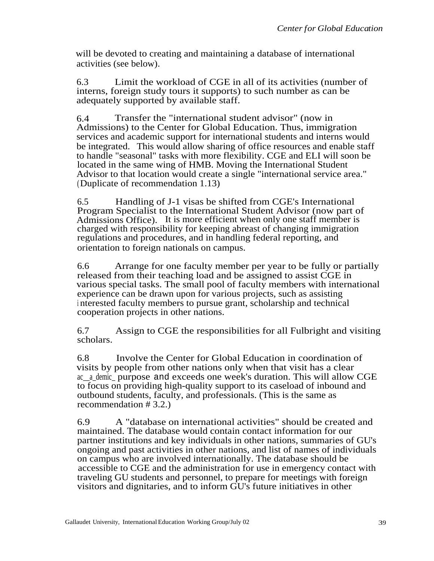will be devoted to creating and maintaining a database of international activities (see below).

6.3 Limit the workload of CGE in all of its activities (number of interns, foreign study tours it supports) to such number as can be adequately supported by available staff.

6.4 Transfer the "international student advisor" (now in Admissions) to the Center for Global Education. Thus, immigration services and academic support for international students and interns would be integrated. This would allow sharing of office resources and enable staff to handle "seasonal" tasks with more flexibility. CGE and ELI will soon be located in the same wing of HMB. Moving the International Student Advisor to that location would create a single "international service area." (Duplicate of recommendation 1.13)

6.5 Handling of J-1 visas be shifted from CGE's International Program Specialist to the International Student Advisor (now part of Admissions Office). It is more efficient when only one staff member is charged with responsibility for keeping abreast of changing immigration regulations and procedures, and in handling federal reporting, and orientation to foreign nationals on campus.

6.6 Arrange for one faculty member per year to be fully or partially released from their teaching load and be assigned to assist CGE in various special tasks. The small pool of faculty members with international experience can be drawn upon for various projects, such as assisting <sup>i</sup> nterested faculty members to pursue grant, scholarship and technical cooperation projects in other nations.

6.7 Assign to CGE the responsibilities for all Fulbright and visiting scholars.

6.8 Involve the Center for Global Education in coordination of visits by people from other nations only when that visit has a clear ac\_a\_demic\_ purpose and exceeds one week's duration. This will allow CGE to focus on providing high-quality support to its caseload of inbound and outbound students, faculty, and professionals. (This is the same as recommendation # 3.2.)

6.9 A "database on international activities" should be created and maintained. The database would contain contact information for our partner institutions and key individuals in other nations, summaries of GU's ongoing and past activities in other nations, and list of names of individuals on campus who are involved internationally. The database should be accessible to CGE and the administration for use in emergency contact with traveling GU students and personnel, to prepare for meetings with foreign visitors and dignitaries, and to inform GU's future initiatives in other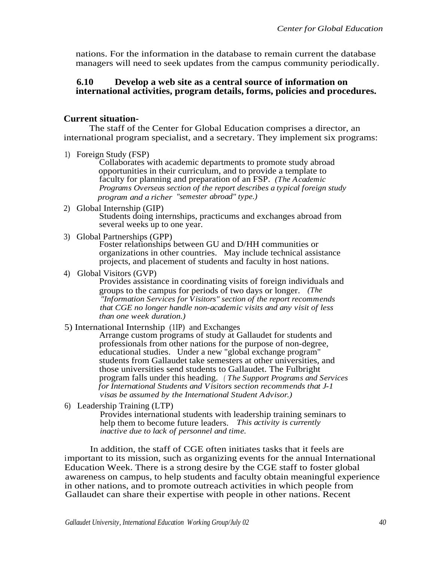nations. For the information in the database to remain current the database managers will need to seek updates from the campus community periodically.

### **6.10 Develop a web site as a central source of information on international activities, program details, forms, policies and procedures.**

### **Current situation-**

The staff of the Center for Global Education comprises a director, an international program specialist, and a secretary. They implement six programs:

1) Foreign Study (FSP)

Collaborates with academic departments to promote study abroad opportunities in their curriculum, and to provide a template to faculty for planning and preparation of an FSP. *(The Academic Programs Overseas section of the report describes a typical foreign study program and a richer "semester abroad" type.)*

- 2) Global Internship (GIP) Students doing internships, practicums and exchanges abroad from several weeks up to one year.
- 3) Global Partnerships (GPP)

Foster relationships between GU and D/HH communities or organizations in other countries. May include technical assistance projects, and placement of students and faculty in host nations.

4) Global Visitors (GVP)

Provides assistance in coordinating visits of foreign individuals and groups to the campus for periods of two days or longer. *(The "Information Services for Visitors" section of the report recommends that CGE no longer handle non-academic visits and any visit of less than one week duration.)*

5) International Internship (1IP) and Exchanges

Arrange custom programs of study at Gallaudet for students and professionals from other nations for the purpose of non-degree, educational studies. Under a new "global exchange program" students from Gallaudet take semesters at other universities, and those universities send students to Gallaudet. The Fulbright program falls under this heading. *( The Support Programs and Services for International Students and Visitors section recommends that J-1 visas be assumed by the International Student Advisor.)*

6) Leadership Training (LTP)

Provides international students with leadership training seminars to help them to become future leaders. *This activity is currently inactive due to lack of personnel and time.*

In addition, the staff of CGE often initiates tasks that it feels are important to its mission, such as organizing events for the annual International Education Week. There is a strong desire by the CGE staff to foster global awareness on campus, to help students and faculty obtain meaningful experience in other nations, and to promote outreach activities in which people from Gallaudet can share their expertise with people in other nations. Recent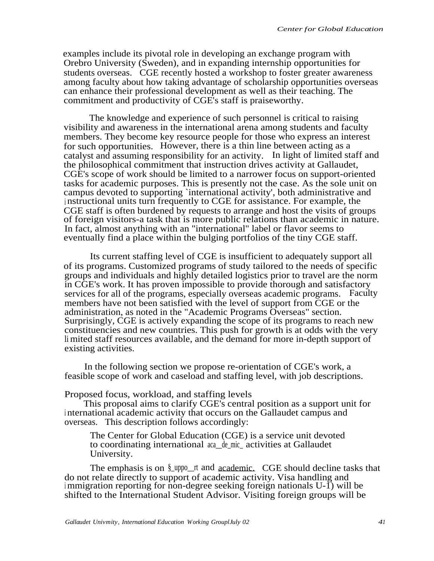examples include its pivotal role in developing an exchange program with Orebro University (Sweden), and in expanding internship opportunities for students overseas. CGE recently hosted a workshop to foster greater awareness among faculty about how taking advantage of scholarship opportunities overseas can enhance their professional development as well as their teaching. The commitment and productivity of CGE's staff is praiseworthy.

The knowledge and experience of such personnel is critical to raising visibility and awareness in the international arena among students and faculty members. They become key resource people for those who express an interest for such opportunities. However, there is a thin line between acting as a catalyst and assuming responsibility for an activity. In light of limited staff and the philosophical commitment that instruction drives activity at Gallaudet, CGE's scope of work should be limited to a narrower focus on support-oriented tasks for academic purposes. This is presently not the case. As the sole unit on campus devoted to supporting `international activity', both administrative and <sup>i</sup> nstructional units turn frequently to CGE for assistance. For example, the CGE staff is often burdened by requests to arrange and host the visits of groups of foreign visitors-a task that is more public relations than academic in nature. In fact, almost anything with an "international" label or flavor seems to eventually find a place within the bulging portfolios of the tiny CGE staff.

Its current staffing level of CGE is insufficient to adequately support all of its programs. Customized programs of study tailored to the needs of specific groups and individuals and highly detailed logistics prior to travel are the norm in CGE's work. It has proven impossible to provide thorough and satisfactory services for all of the programs, especially overseas academic programs. Faculty members have not been satisfied with the level of support from CGE or the administration, as noted in the "Academic Programs Overseas" section. Surprisingly, CGE is actively expanding the scope of its programs to reach new constituencies and new countries. This push for growth is at odds with the very li mited staff resources available, and the demand for more in-depth support of existing activities.

In the following section we propose re-orientation of CGE's work, a feasible scope of work and caseload and staffing level, with job descriptions.

Proposed focus, workload, and staffing levels

This proposal aims to clarify CGE's central position as a support unit for <sup>i</sup> nternational academic activity that occurs on the Gallaudet campus and overseas. This description follows accordingly:

The Center for Global Education (CGE) is a service unit devoted to coordinating international aca\_\_de\_mic\_ activities at Gallaudet University.

The emphasis is on  $\frac{8 \text{ upon } t}{2}$  and <u>academic.</u> CGE should decline tasks that do not relate directly to support of academic activity. Visa handling and immigration reporting for non-degree seeking foreign nationals  $U$ - $\tilde{I}$ ) will be shifted to the International Student Advisor. Visiting foreign groups will be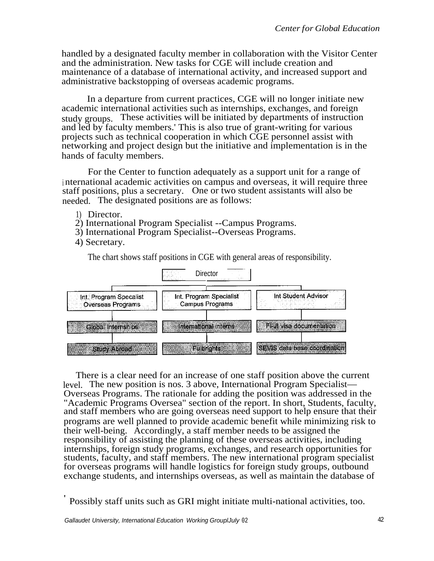handled by a designated faculty member in collaboration with the Visitor Center and the administration. New tasks for CGE will include creation and maintenance of a database of international activity, and increased support and administrative backstopping of overseas academic programs.

In a departure from current practices, CGE will no longer initiate new academic international activities such as internships, exchanges, and foreign study groups. These activities will be initiated by departments of instruction and led by faculty members.' This is also true of grant-writing for various projects such as technical cooperation in which CGE personnel assist with networking and project design but the initiative and implementation is in the hands of faculty members.

For the Center to function adequately as a support unit for a range of <sup>i</sup> nternational academic activities on campus and overseas, it will require three staff positions, plus a secretary. One or two student assistants will also be needed. The designated positions are as follows:

- 1) Director.
- 2) International Program Specialist --Campus Programs.
- 3) International Program Specialist--Overseas Programs.
- 4) Secretary.

The chart shows staff positions in CGE with general areas of responsibility.



There is a clear need for an increase of one staff position above the current level. The new position is nos. 3 above, International Program Specialist— Overseas Programs. The rationale for adding the position was addressed in the "Academic Programs Oversea" section of the report. In short, Students, faculty, and staff members who are going overseas need support to help ensure that their programs are well planned to provide academic benefit while minimizing risk to their well-being. Accordingly, a staff member needs to be assigned the responsibility of assisting the planning of these overseas activities, including internships, foreign study programs, exchanges, and research opportunities for students, faculty, and staff members. The new international program specialist for overseas programs will handle logistics for foreign study groups, outbound exchange students, and internships overseas, as well as maintain the database of

<sup>&#</sup>x27; Possibly staff units such as GRI might initiate multi-national activities, too.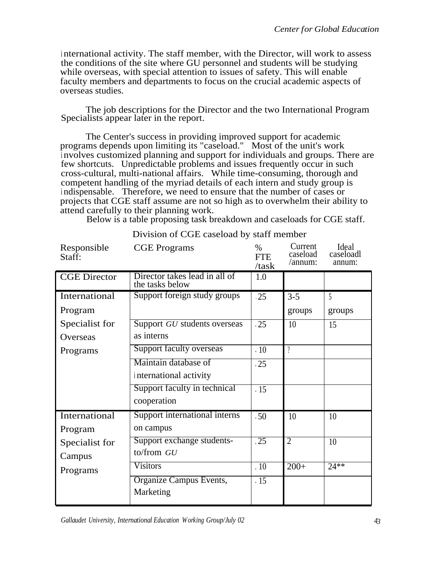international activity. The staff member, with the Director, will work to assess the conditions of the site where GU personnel and students will be studying while overseas, with special attention to issues of safety. This will enable faculty members and departments to focus on the crucial academic aspects of overseas studies.

The job descriptions for the Director and the two International Program Specialists appear later in the report.

The Center's success in providing improved support for academic programs depends upon limiting its "caseload." Most of the unit's work <sup>i</sup> nvolves customized planning and support for individuals and groups. There are few shortcuts. Unpredictable problems and issues frequently occur in such cross-cultural, multi-national affairs. While time-consuming, thorough and competent handling of the myriad details of each intern and study group is <sup>i</sup> ndispensable. Therefore, we need to ensure that the number of cases or projects that CGE staff assume are not so high as to overwhelm their ability to attend carefully to their planning work.

Below is a table proposing task breakdown and caseloads for CGE staff.

| Responsible<br>Staff: | <b>CGE</b> Programs                              | $\%$<br><b>FTE</b><br>/task | Current<br>caseload<br>/annum: | Ideal<br>caseloadl<br>annum: |
|-----------------------|--------------------------------------------------|-----------------------------|--------------------------------|------------------------------|
| <b>CGE</b> Director   | Director takes lead in all of<br>the tasks below | 1.0                         |                                |                              |
| International         | Support foreign study groups                     | .25                         | $3 - 5$                        | 5                            |
| Program               |                                                  |                             | groups                         | groups                       |
| Specialist for        | Support GU students overseas                     | .25                         | 10                             | 15                           |
| Overseas              | as interns                                       |                             |                                |                              |
| Programs              | Support faculty overseas                         | .10                         | $\eta$                         |                              |
|                       | Maintain database of                             | .25                         |                                |                              |
|                       | international activity                           |                             |                                |                              |
|                       | Support faculty in technical                     | .15                         |                                |                              |
|                       | cooperation                                      |                             |                                |                              |
| International         | Support international interns                    | .50                         | 10                             | 10                           |
| Program               | on campus                                        |                             |                                |                              |
| Specialist for        | Support exchange students-                       | $\overline{.25}$            | $\overline{2}$                 | 10                           |
| Campus                | to/from GU                                       |                             |                                |                              |
| Programs              | <b>Visitors</b>                                  | $\overline{.10}$            | $\overline{200+}$              | $24**$                       |
|                       | Organize Campus Events,<br>Marketing             | $\overline{.15}$            |                                |                              |

Division of CGE caseload by staff member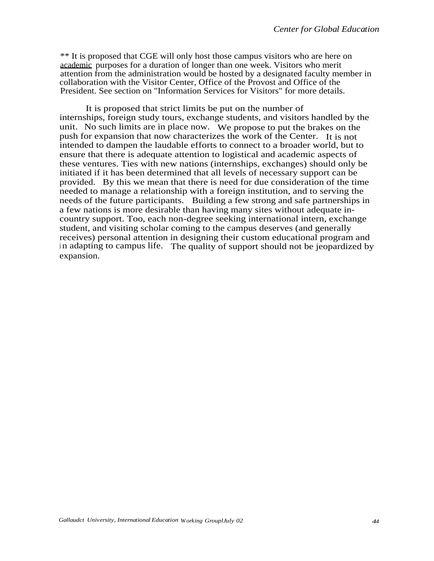\*\* It is proposed that CGE will only host those campus visitors who are here on academic purposes for a duration of longer than one week. Visitors who merit attention from the administration would be hosted by a designated faculty member in collaboration with the Visitor Center, Office of the Provost and Office of the President. See section on "Information Services for Visitors" for more details.

It is proposed that strict limits be put on the number of internships, foreign study tours, exchange students, and visitors handled by the unit. No such limits are in place now. We propose to put the brakes on the push for expansion that now characterizes the work of the Center. It is not intended to dampen the laudable efforts to connect to a broader world, but to ensure that there is adequate attention to logistical and academic aspects of these ventures. Ties with new nations (internships, exchanges) should only be initiated if it has been determined that all levels of necessary support can be provided. By this we mean that there is need for due consideration of the time needed to manage a relationship with a foreign institution, and to serving the needs of the future participants. Building a few strong and safe partnerships in a few nations is more desirable than having many sites without adequate incountry support. Too, each non-degree seeking international intern, exchange student, and visiting scholar coming to the campus deserves (and generally receives) personal attention in designing their custom educational program and in adapting to campus life. The quality of support should not be jeopardized by expansion.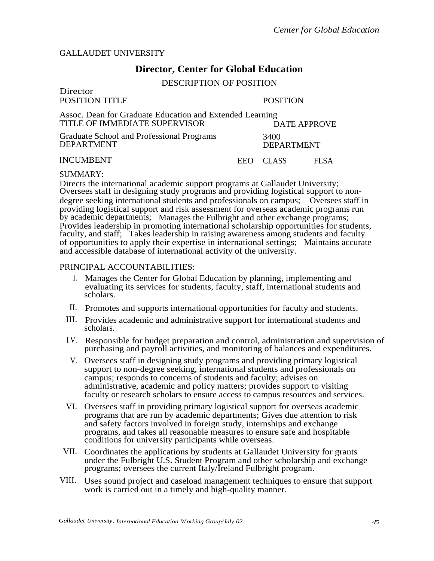### GALLAUDET UNIVERSITY

# **Director, Center for Global Education**

DESCRIPTION OF POSITION

| Director<br>POSITION TITLE                                                                | <b>POSITION</b> |                           |                     |
|-------------------------------------------------------------------------------------------|-----------------|---------------------------|---------------------|
| Assoc. Dean for Graduate Education and Extended Learning<br>TITLE OF IMMEDIATE SUPERVISOR |                 |                           | <b>DATE APPROVE</b> |
| Graduate School and Professional Programs<br><b>DEPARTMENT</b>                            |                 | 3400<br><b>DEPARTMENT</b> |                     |
| <b>INCUMBENT</b>                                                                          | EEO.            | CLASS                     | FL SA               |

#### SUMMARY:

Directs the international academic support programs at Gallaudet University; Oversees staff in designing study programs and providing logistical support to nondegree seeking international students and professionals on campus; Oversees staff in providing logistical support and risk assessment for overseas academic programs run by academic departments; Manages the Fulbright and other exchange programs; Provides leadership in promoting international scholarship opportunities for students, faculty, and staff; Takes leadership in raising awareness among students and faculty of opportunities to apply their expertise in international settings; Maintains accurate and accessible database of international activity of the university.

#### PRINCIPAL ACCOUNTABILITIES:

- I. Manages the Center for Global Education by planning, implementing and evaluating its services for students, faculty, staff, international students and scholars.
- II. Promotes and supports international opportunities for faculty and students.
- III. Provides academic and administrative support for international students and scholars.
- <sup>I</sup> V. Responsible for budget preparation and control, administration and supervision of purchasing and payroll activities, and monitoring of balances and expenditures.
- V. Oversees staff in designing study programs and providing primary logistical support to non-degree seeking, international students and professionals on campus; responds to concerns of students and faculty; advises on administrative, academic and policy matters; provides support to visiting faculty or research scholars to ensure access to campus resources and services.
- VI. Oversees staff in providing primary logistical support for overseas academic programs that are run by academic departments; Gives due attention to risk and safety factors involved in foreign study, internships and exchange programs, and takes all reasonable measures to ensure safe and hospitable conditions for university participants while overseas.
- VII. Coordinates the applications by students at Gallaudet University for grants under the Fulbright U.S. Student Program and other scholarship and exchange programs; oversees the current Italy/Ireland Fulbright program.
- VIII. Uses sound project and caseload management techniques to ensure that support work is carried out in a timely and high-quality manner.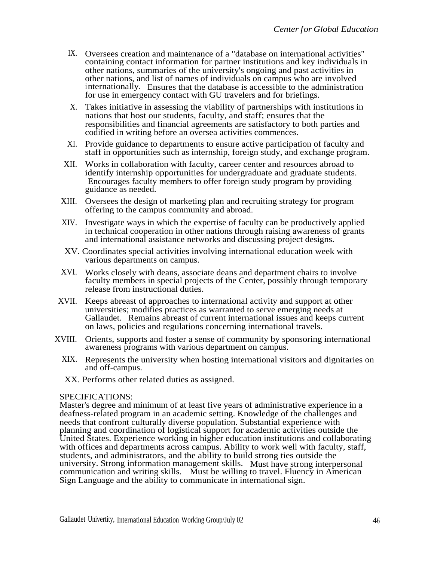- IX. Oversees creation and maintenance of a "database on international activities" containing contact information for partner institutions and key individuals in other nations, summaries of the university's ongoing and past activities in other nations, and list of names of individuals on campus who are involved internationally. Ensures that the database is accessible to the administration for use in emergency contact with GU travelers and for briefings.
- X. Takes initiative in assessing the viability of partnerships with institutions in nations that host our students, faculty, and staff; ensures that the responsibilities and financial agreements are satisfactory to both parties and codified in writing before an oversea activities commences.
- XI. Provide guidance to departments to ensure active participation of faculty and staff in opportunities such as internship, foreign study, and exchange program.
- XII. Works in collaboration with faculty, career center and resources abroad to identify internship opportunities for undergraduate and graduate students. Encourages faculty members to offer foreign study program by providing guidance as needed.
- XIII. Oversees the design of marketing plan and recruiting strategy for program offering to the campus community and abroad.
- XIV. Investigate ways in which the expertise of faculty can be productively applied in technical cooperation in other nations through raising awareness of grants and international assistance networks and discussing project designs.
- XV. Coordinates special activities involving international education week with various departments on campus.
- XVI. Works closely with deans, associate deans and department chairs to involve faculty members in special projects of the Center, possibly through temporary release from instructional duties.
- XVII. Keeps abreast of approaches to international activity and support at other universities; modifies practices as warranted to serve emerging needs at Gallaudet. Remains abreast of current international issues and keeps current on laws, policies and regulations concerning international travels.
- XVIII. Orients, supports and foster a sense of community by sponsoring international awareness programs with various department on campus.
	- XIX. Represents the university when hosting international visitors and dignitaries on and off-campus.
	- XX. Performs other related duties as assigned.

## SPECIFICATIONS:

Master's degree and minimum of at least five years of administrative experience in a deafness-related program in an academic setting. Knowledge of the challenges and needs that confront culturally diverse population. Substantial experience with planning and coordination of logistical support for academic activities outside the United States. Experience working in higher education institutions and collaborating with offices and departments across campus. Ability to work well with faculty, staff, students, and administrators, and the ability to build strong ties outside the university. Strong information management skills. Must have strong interpersonal communication and writing skills. Must be willing to travel. Fluency in American Sign Language and the ability to communicate in international sign.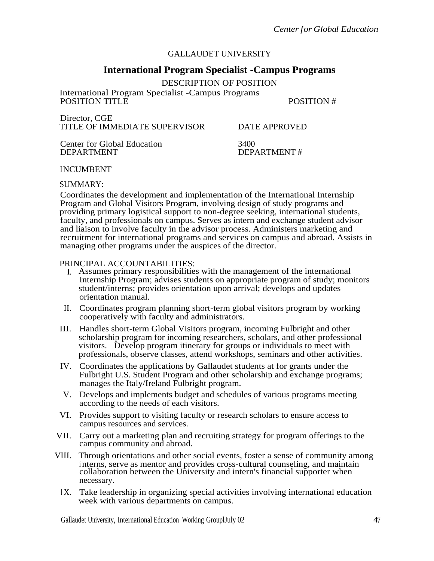# GALLAUDET UNIVERSITY

# **International Program Specialist -Campus Programs**

DESCRIPTION OF POSITION

International Program Specialist -Campus Programs POSITION TITLE  $\overline{P}$  POSITION #

| Director, CGE                 |  |
|-------------------------------|--|
| TITLE OF IMMEDIATE SUPERVISOR |  |

DATE APPROVED

Center for Global Education 3400<br>DEPARTMENT DEP/

DEPARTMENT #

## INCUMBENT

## SUMMARY:

Coordinates the development and implementation of the International Internship Program and Global Visitors Program, involving design of study programs and providing primary logistical support to non-degree seeking, international students, faculty, and professionals on campus. Serves as intern and exchange student advisor and liaison to involve faculty in the advisor process. Administers marketing and recruitment for international programs and services on campus and abroad. Assists in managing other programs under the auspices of the director.

## PRINCIPAL ACCOUNTABILITIES:

- I. Assumes primary responsibilities with the management of the international Internship Program; advises students on appropriate program of study; monitors student/interns; provides orientation upon arrival; develops and updates orientation manual.
- II. Coordinates program planning short-term global visitors program by working cooperatively with faculty and administrators.
- III. Handles short-term Global Visitors program, incoming Fulbright and other scholarship program for incoming researchers, scholars, and other professional visitors. Develop program itinerary for groups or individuals to meet with professionals, observe classes, attend workshops, seminars and other activities.
- IV. Coordinates the applications by Gallaudet students at for grants under the Fulbright U.S. Student Program and other scholarship and exchange programs; manages the Italy/Ireland Fulbright program.
- V. Develops and implements budget and schedules of various programs meeting according to the needs of each visitors.
- VI. Provides support to visiting faculty or research scholars to ensure access to campus resources and services.
- VII. Carry out a marketing plan and recruiting strategy for program offerings to the campus community and abroad.
- VIII. Through orientations and other social events, foster a sense of community among <sup>i</sup> nterns, serve as mentor and provides cross-cultural counseling, and maintain collaboration between the University and intern's financial supporter when necessary.
	- IX. Take leadership in organizing special activities involving international education week with various departments on campus.

Gallaudet University, International Education Working GrouplJuly 02 47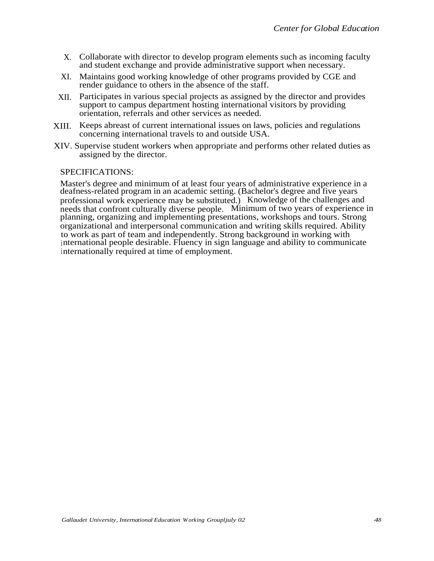- X. Collaborate with director to develop program elements such as incoming faculty and student exchange and provide administrative support when necessary.
- XI. Maintains good working knowledge of other programs provided by CGE and render guidance to others in the absence of the staff.
- XII. Participates in various special projects as assigned by the director and provides support to campus department hosting international visitors by providing orientation, referrals and other services as needed.
- XIII. Keeps abreast of current international issues on laws, policies and regulations concerning international travels to and outside USA.
- XIV. Supervise student workers when appropriate and performs other related duties as assigned by the director.

### SPECIFICATIONS:

Master's degree and minimum of at least four years of administrative experience in a deafness-related program in an academic setting. (Bachelor's degree and five years professional work experience may be substituted.) Knowledge of the challenges and needs that confront culturally diverse people. Minimum of two years of experience in planning, organizing and implementing presentations, workshops and tours. Strong organizational and interpersonal communication and writing skills required. Ability to work as part of team and independently. Strong background in working with international people desirable. Fluency in sign language and ability to communicate internationally required at time of employment.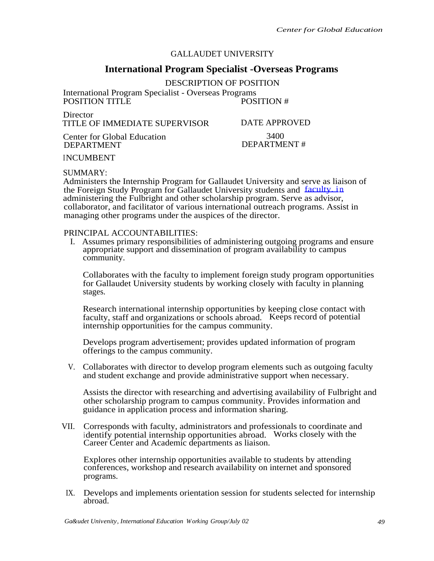# GALLAUDET UNIVERSITY

# **International Program Specialist -Overseas Programs**

DESCRIPTION OF POSITION

International Program Specialist - Overseas Programs POSITION TITLE

**Director** TITLE OF IMMEDIATE SUPERVISOR

Center for Global Education DEPARTMENT

3400 DATE APPROVED DEPARTMENT #

INCUMBENT

SUMMARY:

Administers the Internship Program for Gallaudet University and serve as liaison of the Foreign Study Program for Gallaudet University students and [faculty. in](http://faculty.in) administering the Fulbright and other scholarship program. Serve as advisor, collaborator, and facilitator of various international outreach programs. Assist in managing other programs under the auspices of the director.

#### PRINCIPAL ACCOUNTABILITIES:

I. Assumes primary responsibilities of administering outgoing programs and ensure appropriate support and dissemination of program availability to campus community.

Collaborates with the faculty to implement foreign study program opportunities for Gallaudet University students by working closely with faculty in planning stages.

Research international internship opportunities by keeping close contact with faculty, staff and organizations or schools abroad. Keeps record of potential internship opportunities for the campus community.

Develops program advertisement; provides updated information of program offerings to the campus community.

V. Collaborates with director to develop program elements such as outgoing faculty and student exchange and provide administrative support when necessary.

Assists the director with researching and advertising availability of Fulbright and other scholarship program to campus community. Provides information and guidance in application process and information sharing.

VII. Corresponds with faculty, administrators and professionals to coordinate and identify potential internship opportunities abroad. Works closely with the Career Center and Academic departments as liaison.

Explores other internship opportunities available to students by attending conferences, workshop and research availability on internet and sponsored programs.

IX. Develops and implements orientation session for students selected for internship abroad.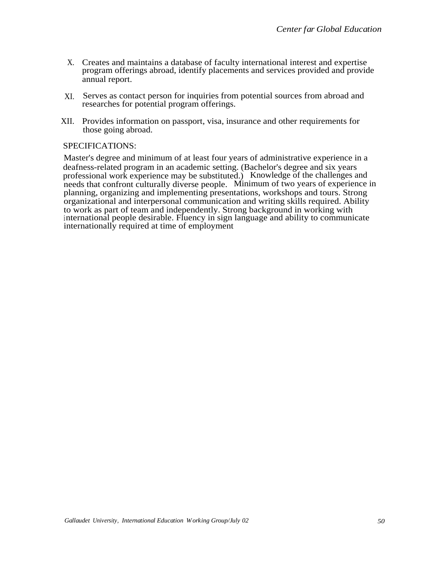- X. Creates and maintains a database of faculty international interest and expertise program offerings abroad, identify placements and services provided and provide annual report.
- XI. Serves as contact person for inquiries from potential sources from abroad and researches for potential program offerings.
- XII. Provides information on passport, visa, insurance and other requirements for those going abroad.

## SPECIFICATIONS:

Master's degree and minimum of at least four years of administrative experience in a deafness-related program in an academic setting. (Bachelor's degree and six years professional work experience may be substituted.) Knowledge of the challenges and needs that confront culturally diverse people. Minimum of two years of experience in planning, organizing and implementing presentations, workshops and tours. Strong organizational and interpersonal communication and writing skills required. Ability to work as part of team and independently. Strong background in working with international people desirable. Fluency in sign language and ability to communicate internationally required at time of employment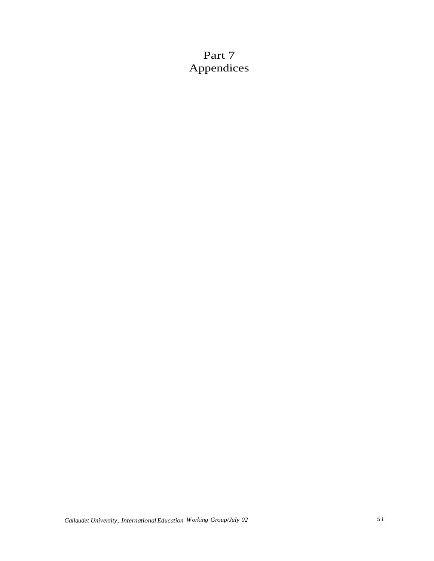# Part 7 Appendices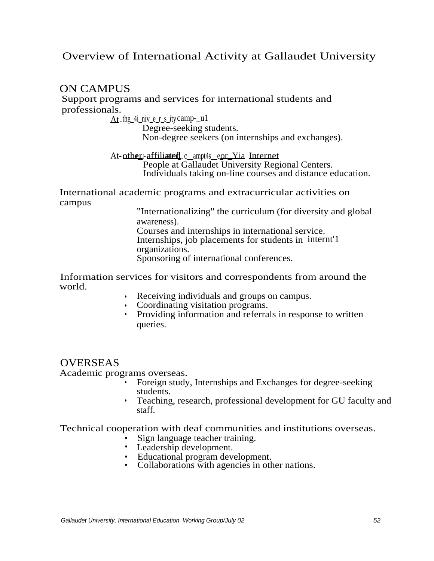# Overview of International Activity at Gallaudet University

# ON CAMPUS

Support programs and services for international students and professionals.

 $At$ -thg\_4i\_niv\_e\_r\_s\_ity camp-\_u1

Degree-seeking students. Non-degree seekers (on internships and exchanges).

At-other-affiliated c\_ampt4s\_eor\_Yia Internet People at Gallaudet University Regional Centers. Individuals taking on-line courses and distance education.

International academic programs and extracurricular activities on campus

> "Internationalizing" the curriculum (for diversity and global awareness).

Courses and internships in international service. Internships, job placements for students in internt'1 organizations. Sponsoring of international conferences.

Information services for visitors and correspondents from around the world.

- Receiving individuals and groups on campus.
- Coordinating visitation programs.
- Providing information and referrals in response to written queries.

# **OVERSEAS**

Academic programs overseas.

- Foreign study, Internships and Exchanges for degree-seeking students.
- Teaching, research, professional development for GU faculty and staff.

Technical cooperation with deaf communities and institutions overseas.

- Sign language teacher training.
- Leadership development.
- Educational program development.
- Collaborations with agencies in other nations.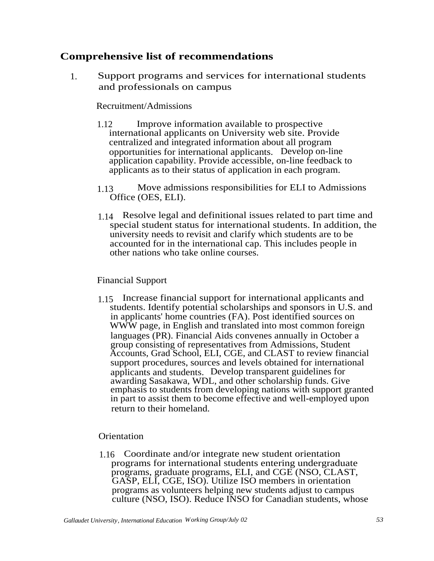# **Comprehensive list of recommendations**

1. Support programs and services for international students and professionals on campus

# Recruitment/Admissions

- 1.12 Improve information available to prospective international applicants on University web site. Provide centralized and integrated information about all program opportunities for international applicants. Develop on-line application capability. Provide accessible, on-line feedback to applicants as to their status of application in each program.
- 1.13 Move admissions responsibilities for ELI to Admissions Office (OES, ELI).
- 1.14 Resolve legal and definitional issues related to part time and special student status for international students. In addition, the university needs to revisit and clarify which students are to be accounted for in the international cap. This includes people in other nations who take online courses.

# Financial Support

1.15 Increase financial support for international applicants and students. Identify potential scholarships and sponsors in U.S. and in applicants' home countries (FA). Post identified sources on WWW page, in English and translated into most common foreign languages (PR). Financial Aids convenes annually in October a group consisting of representatives from Admissions, Student Accounts, Grad School, ELI, CGE, and CLAST to review financial support procedures, sources and levels obtained for international applicants and students. Develop transparent guidelines for awarding Sasakawa, WDL, and other scholarship funds. Give emphasis to students from developing nations with support granted in part to assist them to become effective and well-employed upon return to their homeland.

# **Orientation**

1.16 Coordinate and/or integrate new student orientation programs for international students entering undergraduate programs, graduate programs, ELI, and CGE (NSO, CLAST, GASP, ELI, CGE, ISO). Utilize ISO members in orientation programs as volunteers helping new students adjust to campus culture (NSO, ISO). Reduce INSO for Canadian students, whose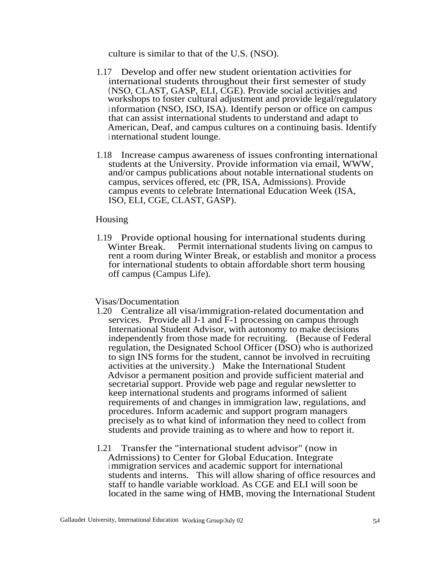culture is similar to that of the U.S. (NSO).

- 1.17 Develop and offer new student orientation activities for international students throughout their first semester of study (NSO, CLAST, GASP, ELI, CGE). Provide social activities and workshops to foster cultural adjustment and provide legal/regulatory <sup>i</sup> nformation (NSO, ISO, ISA). Identify person or office on campus that can assist international students to understand and adapt to American, Deaf, and campus cultures on a continuing basis. Identify <sup>i</sup> nternational student lounge.
- 1.18 Increase campus awareness of issues confronting international students at the University. Provide information via email, WWW, and/or campus publications about notable international students on campus, services offered, etc (PR, ISA, Admissions). Provide campus events to celebrate International Education Week (ISA, ISO, ELI, CGE, CLAST, GASP).

### Housing

1.19 Provide optional housing for international students during Winter Break. Permit international students living on campus to rent a room during Winter Break, or establish and monitor a process for international students to obtain affordable short term housing off campus (Campus Life).

#### Visas/Documentation

- 1.20 Centralize all visa/immigration-related documentation and services. Provide all J-1 and F-1 processing on campus through International Student Advisor, with autonomy to make decisions independently from those made for recruiting. (Because of Federal regulation, the Designated School Officer (DSO) who is authorized to sign INS forms for the student, cannot be involved in recruiting activities at the university.) Make the International Student Advisor a permanent position and provide sufficient material and secretarial support. Provide web page and regular newsletter to keep international students and programs informed of salient requirements of and changes in immigration law, regulations, and procedures. Inform academic and support program managers precisely as to what kind of information they need to collect from students and provide training as to where and how to report it.
- 1.21 Transfer the "international student advisor" (now in Admissions) to Center for Global Education. Integrate <sup>i</sup> mmigration services and academic support for international students and interns. This will allow sharing of office resources and staff to handle variable workload. As CGE and ELI will soon be located in the same wing of HMB, moving the International Student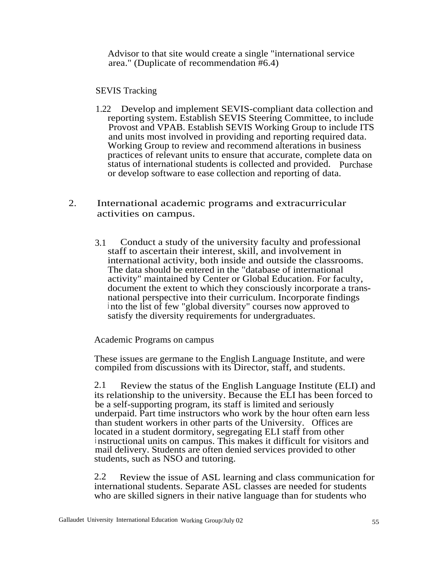Advisor to that site would create a single "international service area." (Duplicate of recommendation #6.4)

SEVIS Tracking

- 1.22 Develop and implement SEVIS-compliant data collection and reporting system. Establish SEVIS Steering Committee, to include Provost and VPAB. Establish SEVIS Working Group to include ITS and units most involved in providing and reporting required data. Working Group to review and recommend alterations in business practices of relevant units to ensure that accurate, complete data on status of international students is collected and provided. Purchase or develop software to ease collection and reporting of data.
- 2. International academic programs and extracurricular activities on campus.
	- 3.1 Conduct a study of the university faculty and professional staff to ascertain their interest, skill, and involvement in international activity, both inside and outside the classrooms. The data should be entered in the "database of international activity" maintained by Center or Global Education. For faculty, document the extent to which they consciously incorporate a transnational perspective into their curriculum. Incorporate findings <sup>i</sup> nto the list of few "global diversity" courses now approved to satisfy the diversity requirements for undergraduates.

Academic Programs on campus

These issues are germane to the English Language Institute, and were compiled from discussions with its Director, staff, and students.

2.1 Review the status of the English Language Institute (ELI) and its relationship to the university. Because the ELI has been forced to be a self-supporting program, its staff is limited and seriously underpaid. Part time instructors who work by the hour often earn less than student workers in other parts of the University. Offices are located in a student dormitory, segregating ELI staff from other <sup>i</sup> nstructional units on campus. This makes it difficult for visitors and mail delivery. Students are often denied services provided to other students, such as NSO and tutoring.

2.2 Review the issue of ASL learning and class communication for international students. Separate ASL classes are needed for students who are skilled signers in their native language than for students who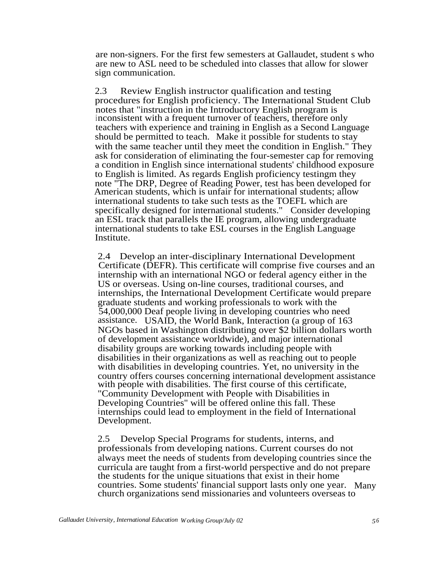are non-signers. For the first few semesters at Gallaudet, student s who are new to ASL need to be scheduled into classes that allow for slower sign communication.

2.3 Review English instructor qualification and testing procedures for English proficiency. The International Student Club notes that "instruction in the Introductory English program is inconsistent with a frequent turnover of teachers, therefore only teachers with experience and training in English as a Second Language should be permitted to teach. Make it possible for students to stay with the same teacher until they meet the condition in English." They ask for consideration of eliminating the four-semester cap for removing a condition in English since international students' childhood exposure to English is limited. As regards English proficiency testingm they note "The DRP, Degree of Reading Power, test has been developed for American students, which is unfair for international students; allow international students to take such tests as the TOEFL which are specifically designed for international students." Consider developing an ESL track that parallels the IE program, allowing undergraduate international students to take ESL courses in the English Language Institute.

2.4 Develop an inter-disciplinary International Development Certificate (DEFR). This certificate will comprise five courses and an internship with an international NGO or federal agency either in the US or overseas. Using on-line courses, traditional courses, and internships, the International Development Certificate would prepare graduate students and working professionals to work with the 54,000,000 Deaf people living in developing countries who need assistance. USAID, the World Bank, Interaction (a group of 163 NGOs based in Washington distributing over \$2 billion dollars worth of development assistance worldwide), and major international disability groups are working towards including people with disabilities in their organizations as well as reaching out to people with disabilities in developing countries. Yet, no university in the country offers courses concerning international development assistance with people with disabilities. The first course of this certificate, "Community Development with People with Disabilities in Developing Countries" will be offered online this fall. These internships could lead to employment in the field of International Development.

2.5 Develop Special Programs for students, interns, and professionals from developing nations. Current courses do not always meet the needs of students from developing countries since the curricula are taught from a first-world perspective and do not prepare the students for the unique situations that exist in their home countries. Some students' financial support lasts only one year. Many church organizations send missionaries and volunteers overseas to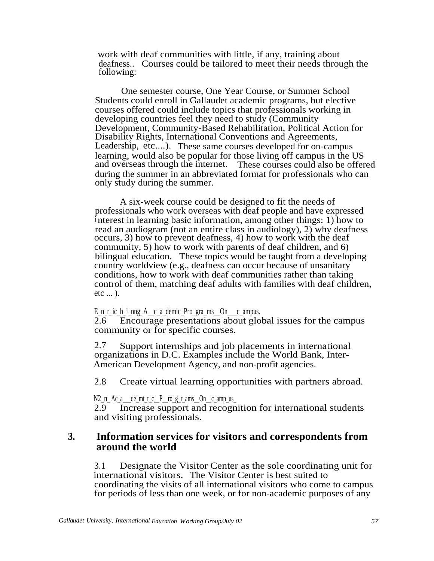work with deaf communities with little, if any, training about deafness.. Courses could be tailored to meet their needs through the following:

One semester course, One Year Course, or Summer School Students could enroll in Gallaudet academic programs, but elective courses offered could include topics that professionals working in developing countries feel they need to study (Community Development, Community-Based Rehabilitation, Political Action for Disability Rights, International Conventions and Agreements, Leadership, etc....). These same courses developed for on-campus learning, would also be popular for those living off campus in the US and overseas through the internet. These courses could also be offered during the summer in an abbreviated format for professionals who can only study during the summer.

A six-week course could be designed to fit the needs of professionals who work overseas with deaf people and have expressed <sup>i</sup> nterest in learning basic information, among other things: 1) how to read an audiogram (not an entire class in audiology), 2) why deafness occurs, 3) how to prevent deafness, 4) how to work with the deaf community, 5) how to work with parents of deaf children, and 6) bilingual education. These topics would be taught from a developing country worldview (e.g., deafness can occur because of unsanitary conditions, how to work with deaf communities rather than taking control of them, matching deaf adults with families with deaf children, etc  $\dots$ ).

#### E\_n\_r\_ic\_h\_i\_nng\_A\_\_c\_a\_demic\_Pro\_gra\_ms\_\_On\_\_\_c\_ampus.

2.6 Encourage presentations about global issues for the campus community or for specific courses.

2.7 Support internships and job placements in international organizations in D.C. Examples include the World Bank, Inter-American Development Agency, and non-profit agencies.

2.8 Create virtual learning opportunities with partners abroad.

## $N2_n_A_c_a$  de\_mt\_t\_c\_ $P$ \_ro\_g\_r\_ams\_On\_c\_amp\_us\_

2.9 Increase support and recognition for international students and visiting professionals.

# **3. Information services for visitors and correspondents from around the world**

3.1 Designate the Visitor Center as the sole coordinating unit for international visitors. The Visitor Center is best suited to coordinating the visits of all international visitors who come to campus for periods of less than one week, or for non-academic purposes of any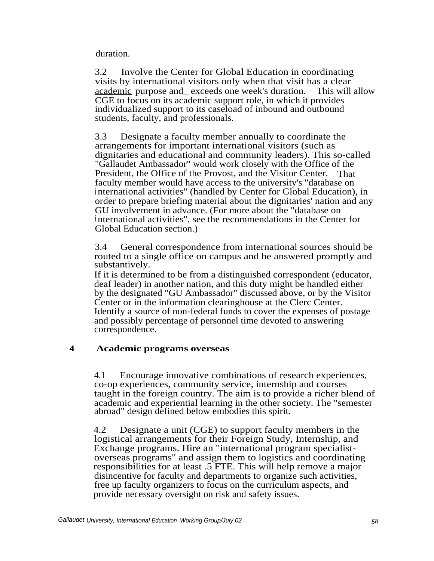duration.

3.2 Involve the Center for Global Education in coordinating visits by international visitors only when that visit has a clear academic purpose and\_ exceeds one week's duration. This will allow CGE to focus on its academic support role, in which it provides individualized support to its caseload of inbound and outbound students, faculty, and professionals.

3.3 Designate a faculty member annually to coordinate the arrangements for important international visitors (such as dignitaries and educational and community leaders). This so-called "Gallaudet Ambassador" would work closely with the Office of the President, the Office of the Provost, and the Visitor Center. That faculty member would have access to the university's "database on <sup>i</sup> nternational activities" (handled by Center for Global Education), in order to prepare briefing material about the dignitaries' nation and any GU involvement in advance. (For more about the "database on <sup>i</sup> nternational activities", see the recommendations in the Center for Global Education section.)

3.4 General correspondence from international sources should be routed to a single office on campus and be answered promptly and substantively.

If it is determined to be from a distinguished correspondent (educator, deaf leader) in another nation, and this duty might be handled either by the designated "GU Ambassador" discussed above, or by the Visitor Center or in the information clearinghouse at the Clerc Center. Identify a source of non-federal funds to cover the expenses of postage and possibly percentage of personnel time devoted to answering correspondence.

# **4 Academic programs overseas**

4.1 Encourage innovative combinations of research experiences, co-op experiences, community service, internship and courses taught in the foreign country. The aim is to provide a richer blend of academic and experiential learning in the other society. The "semester abroad" design defined below embodies this spirit.

4.2 Designate a unit (CGE) to support faculty members in the logistical arrangements for their Foreign Study, Internship, and Exchange programs. Hire an "international program specialistoverseas programs" and assign them to logistics and coordinating responsibilities for at least .5 FTE. This will help remove a major disincentive for faculty and departments to organize such activities, free up faculty organizers to focus on the curriculum aspects, and provide necessary oversight on risk and safety issues.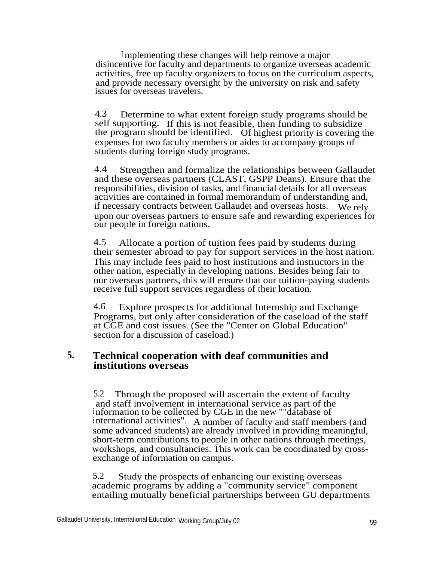<sup>I</sup> mplementing these changes will help remove a major disincentive for faculty and departments to organize overseas academic activities, free up faculty organizers to focus on the curriculum aspects, and provide necessary oversight by the university on risk and safety issues for overseas travelers.

4.3 Determine to what extent foreign study programs should be self supporting. If this is not feasible, then funding to subsidize the program should be identified. Of highest priority is covering the expenses for two faculty members or aides to accompany groups of students during foreign study programs.

4.4 Strengthen and formalize the relationships between Gallaudet and these overseas partners (CLAST, GSPP Deans). Ensure that the responsibilities, division of tasks, and financial details for all overseas activities are contained in formal memorandum of understanding and, if necessary contracts between Gallaudet and overseas hosts. We rely upon our overseas partners to ensure safe and rewarding experiences for our people in foreign nations.

4.5 Allocate a portion of tuition fees paid by students during their semester abroad to pay for support services in the host nation. This may include fees paid to host institutions and instructors in the other nation, especially in developing nations. Besides being fair to our overseas partners, this will ensure that our tuition-paying students receive full support services regardless of their location.

4.6 Explore prospects for additional Internship and Exchange Programs, but only after consideration of the caseload of the staff at CGE and cost issues. (See the "Center on Global Education" section for a discussion of caseload.)

# **5. Technical cooperation with deaf communities and institutions overseas**

5.2 Through the proposed will ascertain the extent of faculty and staff involvement in international service as part of the <sup>i</sup> nformation to be collected by CGE in the new ""database of <sup>i</sup> nternational activities". A number of faculty and staff members (and some advanced students) are already involved in providing meaningful, short-term contributions to people in other nations through meetings, workshops, and consultancies. This work can be coordinated by crossexchange of information on campus.

5.2 Study the prospects of enhancing our existing overseas academic programs by adding a "community service" component entailing mutually beneficial partnerships between GU departments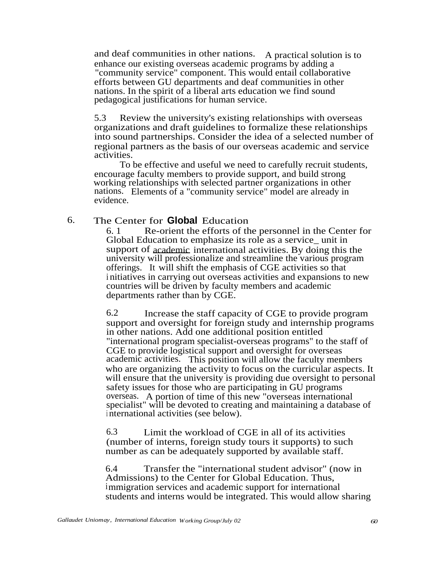and deaf communities in other nations. A practical solution is to enhance our existing overseas academic programs by adding a "community service" component. This would entail collaborative efforts between GU departments and deaf communities in other nations. In the spirit of a liberal arts education we find sound pedagogical justifications for human service.

5.3 Review the university's existing relationships with overseas organizations and draft guidelines to formalize these relationships into sound partnerships. Consider the idea of a selected number of regional partners as the basis of our overseas academic and service activities.

To be effective and useful we need to carefully recruit students, encourage faculty members to provide support, and build strong working relationships with selected partner organizations in other nations. Elements of a "community service" model are already in evidence.

# 6. The Center for **Global** Education

6. 1 Re-orient the efforts of the personnel in the Center for Global Education to emphasize its role as a service\_ unit in support of academic international activities. By doing this the university will professionalize and streamline the various program offerings. It will shift the emphasis of CGE activities so that i nitiatives in carrying out overseas activities and expansions to new countries will be driven by faculty members and academic departments rather than by CGE.

6.2 Increase the staff capacity of CGE to provide program support and oversight for foreign study and internship programs in other nations. Add one additional position entitled "international program specialist-overseas programs" to the staff of CGE to provide logistical support and oversight for overseas academic activities. This position will allow the faculty members who are organizing the activity to focus on the curricular aspects. It will ensure that the university is providing due oversight to personal safety issues for those who are participating in GU programs overseas. A portion of time of this new "overseas international specialist" will be devoted to creating and maintaining a database of <sup>i</sup> nternational activities (see below).

6.3 Limit the workload of CGE in all of its activities (number of interns, foreign study tours it supports) to such number as can be adequately supported by available staff.

6.4 Transfer the "international student advisor" (now in Admissions) to the Center for Global Education. Thus, immigration services and academic support for international students and interns would be integrated. This would allow sharing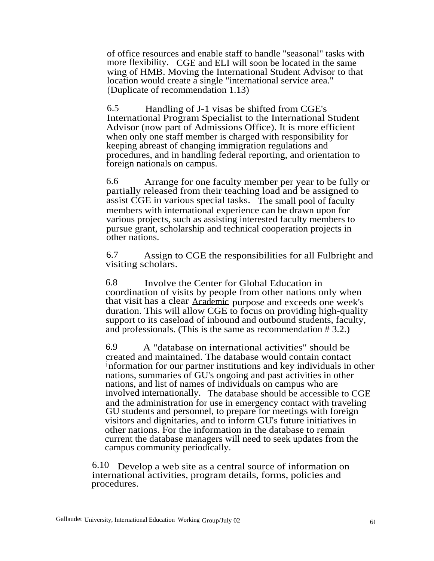of office resources and enable staff to handle "seasonal" tasks with more flexibility. CGE and ELI will soon be located in the same wing of HMB. Moving the International Student Advisor to that location would create a single "international service area." (Duplicate of recommendation 1.13)

6.5 Handling of J-1 visas be shifted from CGE's International Program Specialist to the International Student Advisor (now part of Admissions Office). It is more efficient when only one staff member is charged with responsibility for keeping abreast of changing immigration regulations and procedures, and in handling federal reporting, and orientation to foreign nationals on campus.

6.6 Arrange for one faculty member per year to be fully or partially released from their teaching load and be assigned to assist CGE in various special tasks. The small pool of faculty members with international experience can be drawn upon for various projects, such as assisting interested faculty members to pursue grant, scholarship and technical cooperation projects in other nations.

6.7 Assign to CGE the responsibilities for all Fulbright and visiting scholars.

6.8 Involve the Center for Global Education in coordination of visits by people from other nations only when that visit has a clear Academic purpose and exceeds one week's duration. This will allow CGE to focus on providing high-quality support to its caseload of inbound and outbound students, faculty, and professionals. (This is the same as recommendation # 3.2.)

6.9 A "database on international activities" should be created and maintained. The database would contain contact <sup>i</sup> nformation for our partner institutions and key individuals in other nations, summaries of GU's ongoing and past activities in other nations, and list of names of individuals on campus who are involved internationally. The database should be accessible to CGE and the administration for use in emergency contact with traveling GU students and personnel, to prepare for meetings with foreign visitors and dignitaries, and to inform GU's future initiatives in other nations. For the information in the database to remain current the database managers will need to seek updates from the campus community periodically.

6.10 Develop a web site as a central source of information on international activities, program details, forms, policies and procedures.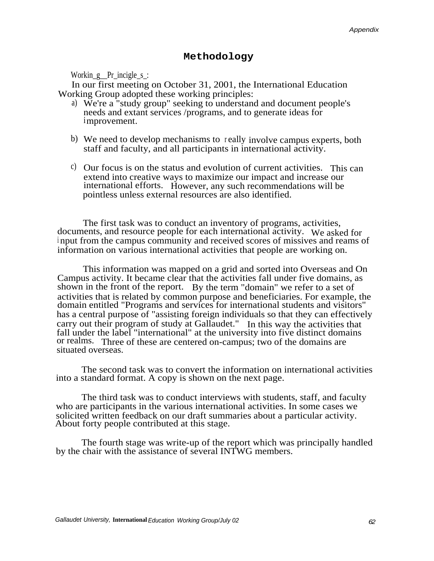### **Methodology**

Workin  $g$  Pr incigle  $s$ :

In our first meeting on October 31, 2001, the International Education Working Group adopted these working principles:

- a) We're a "study group" seeking to understand and document people's needs and extant services /programs, and to generate ideas for improvement.
- b) We need to develop mechanisms to <sup>r</sup> eally involve campus experts, both staff and faculty, and all participants in international activity.
- c) Our focus is on the status and evolution of current activities. This can extend into creative ways to maximize our impact and increase our international efforts. However, any such recommendations will be pointless unless external resources are also identified.

The first task was to conduct an inventory of programs, activities, documents, and resource people for each international activity. We asked for <sup>i</sup> nput from the campus community and received scores of missives and reams of information on various international activities that people are working on.

This information was mapped on a grid and sorted into Overseas and On Campus activity. It became clear that the activities fall under five domains, as shown in the front of the report. By the term "domain" we refer to a set of activities that is related by common purpose and beneficiaries. For example, the domain entitled "Programs and services for international students and visitors" has a central purpose of "assisting foreign individuals so that they can effectively carry out their program of study at Gallaudet." In this way the activities that fall under the label "international" at the university into five distinct domains or realms. Three of these are centered on-campus; two of the domains are situated overseas.

The second task was to convert the information on international activities into a standard format. A copy is shown on the next page.

The third task was to conduct interviews with students, staff, and faculty who are participants in the various international activities. In some cases we solicited written feedback on our draft summaries about a particular activity. About forty people contributed at this stage.

The fourth stage was write-up of the report which was principally handled by the chair with the assistance of several INTWG members.